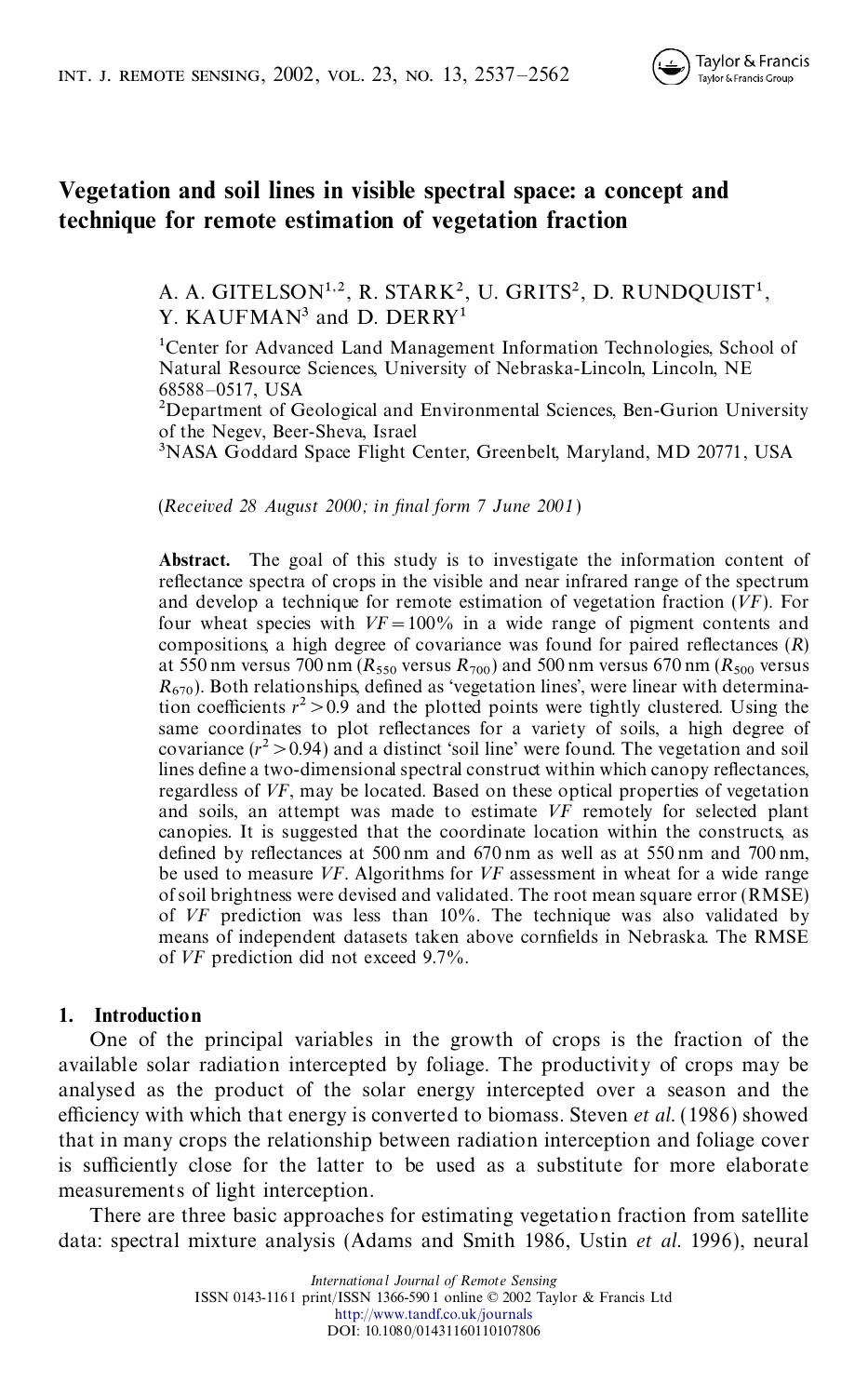

# **Vegetation and soil lines in visible spectral space: a concept and technique for remote estimation of vegetation fraction**

A. A. GITELSON<sup>1,2</sup>, R. STARK<sup>2</sup>, U. GRITS<sup>2</sup>, D. RUNDQUIST<sup>1</sup>, Y. KAUFMAN<sup>3</sup> and D. DERRY<sup>1</sup>

1Center for Advanced Land Management Information Technologies, School of Natural Resource Sciences, University of Nebraska-Lincoln, Lincoln, NE 68588–0517, USA

<sup>2</sup>Department of Geological and Environmental Sciences, Ben-Gurion University of the Negev, Beer-Sheva, Israel<br><sup>3</sup>NASA Goddard Space Flight Center, Greenbelt, Maryland, MD 20771, USA

(*Received 28 August 2000; in nal form 7 June 2001*)

Abstract. The goal of this study is to investigate the information content of reflectance spectra of crops in the visible and near infrared range of the spectrum and develop a technique for remote estimation of vegetation fraction (*VF*). For four wheat species with  $VF = 100\%$  in a wide range of pigment contents and compositions, a high degree of covariance was found for paired reflectances  $(R)$ at 550 nm versus 700 nm ( $R_{550}$  versus  $R_{700}$ ) and 500 nm versus 670 nm ( $R_{500}$  ver at 550 nm versus 700 nm ( $R_{550}$  versus  $R_{700}$ ) and 500 nm versus 670 nm ( $R_{500}$  versus  $R_{670}$ ). Both relationships, defined as 'vegetation lines', were linear with determination coefficients  $r^2 > 0.9$  and the plotted points were tightly clustered. Using the same coordinates to plot reflectances for a variety of soils, a high degree of covariance  $(r^2 > 0.94)$  and a distinct 'soil line' were found. The vegetation and soil lines define a two-dimensional spectral construct within which canopy reflectances, regardless of VF, may be located. Based on these optical properties of vegetation and soils, an attempt was made to estimate *VF* remotely for selected plant canopies. It is suggested that the coordinate location within the constructs, as defined by reflectances at 500 nm and 670 nm as well as at 550 nm and 700 nm, be used to measure *VF*. Algorithms for *VF* assessment in wheat for a wide range of soil brightness were devised and validated. The root mean square error (RMSE) of *VF* prediction was less than 10%. The technique was also validated by means of independent datasets taken above cornfields in Nebraska. The RMSE of *VF* prediction did not exceed 9.7%.

### **1. Introduction**

One of the principal variables in the growth of crops is the fraction of the available solar radiation intercepted by foliage. The productivity of crops may be analysed as the product of the solar energy intercepted over a season and the efficiency with which that energy is converted to biomass. Steven *et al.* (1986) showed that in many crops the relationship between radiation interception and foliage cover is sufficiently close for the latter to be used as a substitute for more elaborate measurements of light interception.

There are three basic approaches for estimating vegetation fraction from satellite data: spectral mixture analysis (Adams and Smith 1986, Ustin *et al.* 1996), neural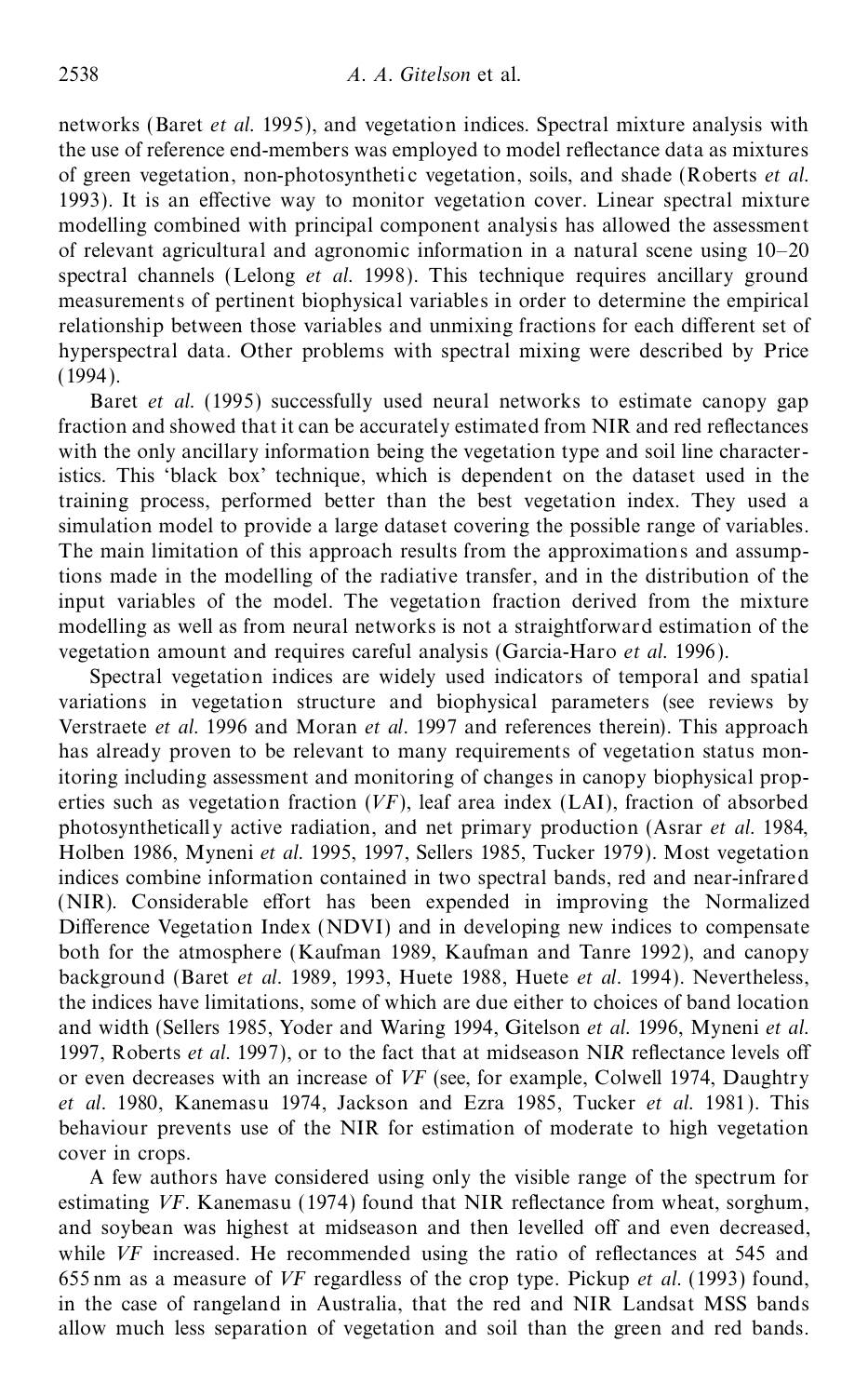networks (Baret *et al.* 1995), and vegetation indices. Spectral mixture analysis with the use of reference end-members was employed to model reflectance data as mixtures of green vegetation, non-photosynthetic vegetation, soils, and shade (Roberts *et al.*) 1993). It is an effective way to monitor vegetation cover. Linear spectral mixture modelling combined with principal component analysis has allowed the assessment of relevant agricultural and agronomic information in a natural scene using 10–20 spectral channels (Lelong *et al.* 1998). This technique requires ancillary ground measurements of pertinent biophysical variables in order to determine the empirical relationship between those variables and unmixing fractions for each different set of hyperspectral data. Other problems with spectral mixing were described by Price  $(1994)$ .

Baret *et al.* (1995) successfully used neural networks to estimate canopy gap fraction and showed that it can be accurately estimated from NIR and red reflectances with the only ancillary information being the vegetation type and soil line characteristics. This 'black box' technique, which is dependent on the dataset used in the training process, performed better than the best vegetation index. They used a simulation model to provide a large dataset covering the possible range of variables. The main limitation of this approach results from the approximations and assumptions made in the modelling of the radiative transfer, and in the distribution of the input variables of the model. The vegetation fraction derived from the mixture modelling as well as from neural networks is not a straightforward estimation of the vegetation amount and requires careful analysis (Garcia-Haro *et al.* 1996 ).

Spectral vegetation indices are widely used indicators of temporal and spatial variations in vegetation structure and biophysical parameters (see reviews by Verstraete *et al.* 1996 and Moran *et al.* 1997 and references therein). This approach has already proven to be relevant to many requirements of vegetation status monitoring including assessment and monitoring of changes in canopy biophysical prop erties such as vegetation fraction (*VF*), leaf area index (LAI), fraction of absorbed photosynthetically active radiation, and net primary production (Asrar *et al.* 1984, Holben 1986, Myneni *et al.* 1995, 1997, Sellers 1985, Tucker 1979). Most vegetation indices combine information contained in two spectral bands, red and near-infrared (NIR). Considerable effort has been expended in improving the Normalized Difference Vegetation Index (NDVI) and in developing new indices to compensate both for the atmosphere (Kaufman 1989, Kaufman and Tanre 1992), and canopy background (Baret *et al.* 1989, 1993, Huete 1988, Huete *et al.* 1994). Nevertheless, the indices have limitations, some of which are due either to choices of band location and width (Sellers 1985, Yoder and Waring 1994, Gitelson *et al.* 1996, Myneni *et al.* 1997, Roberts *et al.* 1997), or to the fact that at midseason NIR reflectance levels off or even decreases with an increase of *VF* (see, for example, Colwell 1974, Daughtry *et al.* 1980, Kanemasu 1974, Jackson and Ezra 1985, Tucker *et al.* 1981 ). This behaviour prevents use of the NIR for estimation of moderate to high vegetation cover in crops.

A few authors have considered using only the visible range of the spectrum for estimating *VF*. Kanemasu (1974) found that NIR reflectance from wheat, sorghum, and soybean was highest at midseason and then levelled off and even decreased, while *VF* increased. He recommended using the ratio of reflectances at 545 and 655 nm as a measure of *VF* regardless of the crop type. Pickup *et al.* (1993) found, in the case of rangeland in Australia, that the red and NIR Landsat MSS bands allow much less separation of vegetation and soil than the green and red bands.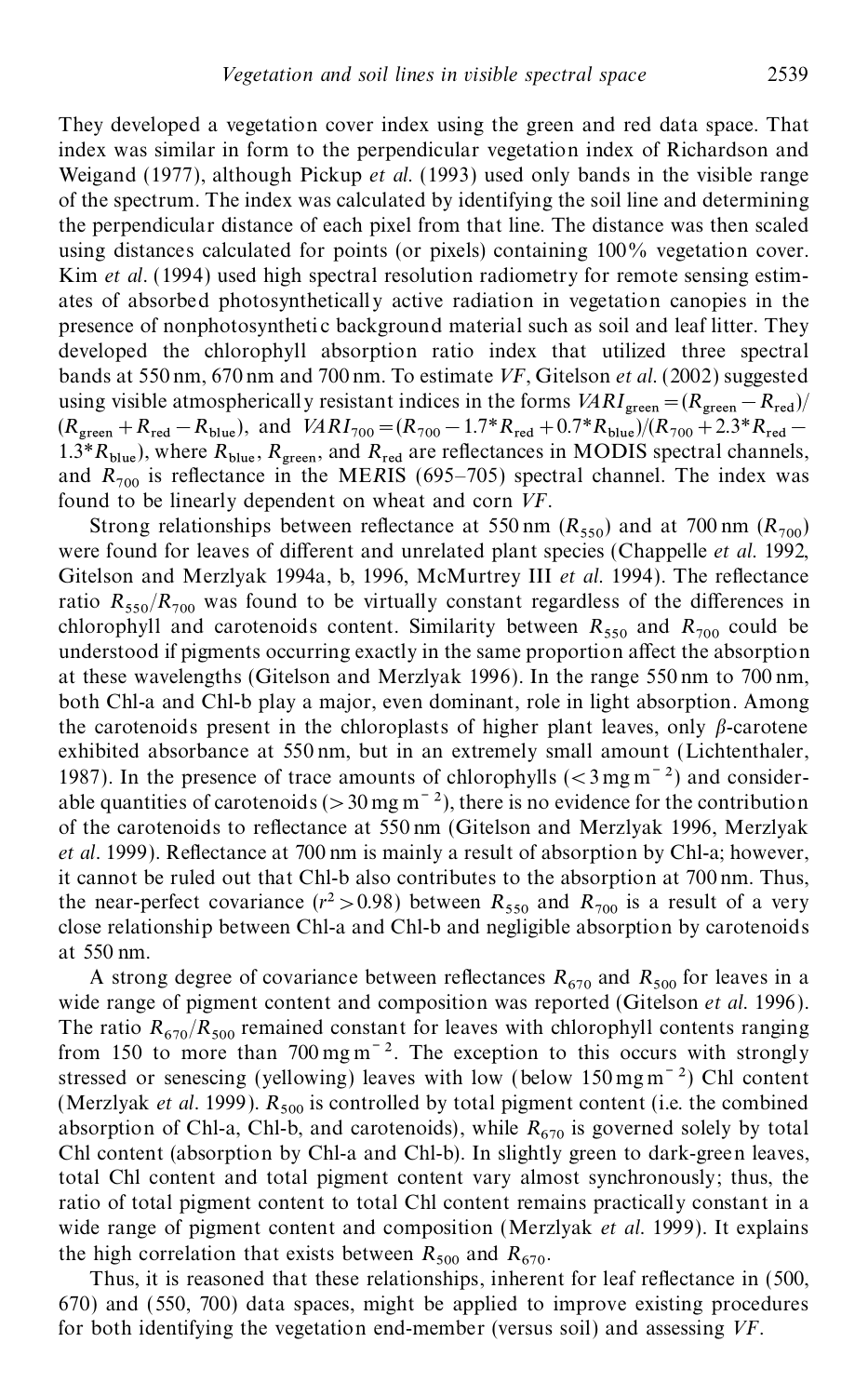They developed a vegetation cover index using the green and red data space. That index was similar in form to the perpendicular vegetation index of Richardson and Weigand (1977), although Pickup *et al.* (1993) used only bands in the visible range of the spectrum. The index was calculated by identifying the soil line and determining the perpendicular distance of each pixel from that line. The distance was then scaled using distances calculated for points (or pixels) containing 100% vegetation cover. Kim *et al.* (1994) used high spectral resolution radiometry for remote sensing estim ates of absorbed photosynthetically active radiation in vegetation canopies in the presence of nonphotosyntheti c background material such as soil and leaf litter. They developed the chlorophyll absorption ratio index that utilized three spectral bands at 550 nm, 670 nm and 700 nm. To estimate *VF*, Gitelson *et al.* (2002) suggested using visible atmospherically resistant indices in the forms  $VARI_{green} = (R_{green} - R_{red})/$  $(R_{\text{green}} + R_{\text{red}} - R_{\text{blue}})$ , and  $VARI_{700} = (R_{700} - 1.7 * R_{\text{red}} + 0.7 * R_{\text{blue}})/(R_{700} + 2.3 * R_{\text{red}} - 1.7 * R_{\text{blue}})$ 1.3<sup>\*</sup> $R_{\text{blue}}$ ), where  $R_{\text{blue}}$ ,  $R_{\text{green}}$ , and  $R_{\text{red}}$  are 1.3\* $R_{blue}$ ), where  $R_{blue}$ ,  $R_{green}$ , and  $R_{red}$  are reflectances in MODIS spectral channels, and  $R_{700}$  is reflectance in the ME*RIS* (695–705) spectral channel. The index was found to be linearly dependent on wheat and corn *VF*.

Strong relationships between reflectance at 550 nm  $(R_{550})$  and at 700 nm  $(R_{700})$ were found for leaves of different and unrelated plant species (Chappelle *et al.* 1992, Gitelson and Merzlyak 1994a, b, 1996, McMurtrey III *et al.* 1994). The reflectance ratio  $R_{550}/R_{700}$  was found to be virtually constant regardless of the differences in chlorophyll and carotenoids content. Similarity between  $R_{550}$  and  $R_{700}$  could be understood if pigments occurring exactly in the same proportion affect the absorption at these wavelengths (Gitelson and Merzlyak 1996). In the range 550 nm to 700 nm, both Chl-a and Chl-b play a major, even dominant, role in light absorption. Among the carotenoids present in the chloroplasts of higher plant leaves, only  $\beta$ -carotene exhibited absorbance at 550 nm, but in an extremely small amount (Lichtenthaler, 1987). In the presence of trace amounts of chlorophylls  $( $3 \text{ mg m}^{-2}$ )$  and considerable quantities of carotenoids ( $>30$  mg m<sup>-2</sup>), there is no evidence for the contribution of the carotenoids to reflectance at 550 nm (Gitelson and Merzlyak 1996, Merzlyak *et al.* 1999). Reflectance at 700 nm is mainly a result of absorption by Chl-a; however, it cannot be ruled out that Chl-b also contributes to the absorption at 700 nm. Thus, the near-perfect covariance  $(r^2 > 0.98)$  between  $R_{550}$  and  $R_{700}$  is a result of a very close relationship between Chl-a and Chl-b and negligible absorption by carotenoids at 550 nm.

A strong degree of covariance between reflectances  $R_{670}$  and  $R_{500}$  for leaves in a wide range of pigment content and composition was reported (Gitelson *et al.* 1996 ). The ratio  $R_{670}/R_{500}$  remained constant for leaves with chlorophyll contents ranging from 150 to more than  $700 \text{ mg m}^{-2}$ . The exception to this occurs with strongly stressed or senescing (yellowing) leaves with low (below  $150 \,\mathrm{mg\,m}^{-2}$ ) Chl content (Merzlyak *et al.* 1999).  $R_{500}$  is controlled by total pigment content (i.e. the combined absorption of Chl-a, Chl-b, and carotenoids), while  $R_{670}$  is governed solely by total Chl content (absorption by Chl-a and Chl-b). In slightly green to dark-green leaves, total Chl content and total pigment content vary almost synchronously; thus, the ratio of total pigment content to total Chl content remains practically constant in a wide range of pigment content and composition (Merzlyak *et al.* 1999). It explains the high correlation that exists between  $R_{500}$  and  $R_{670}$ .

Thus, it is reasoned that these relationships, inherent for leaf reflectance in (500, 670) and (550, 700) data spaces, might be applied to improve existing procedures for both identifying the vegetation end-member (versus soil) and assessing *VF*.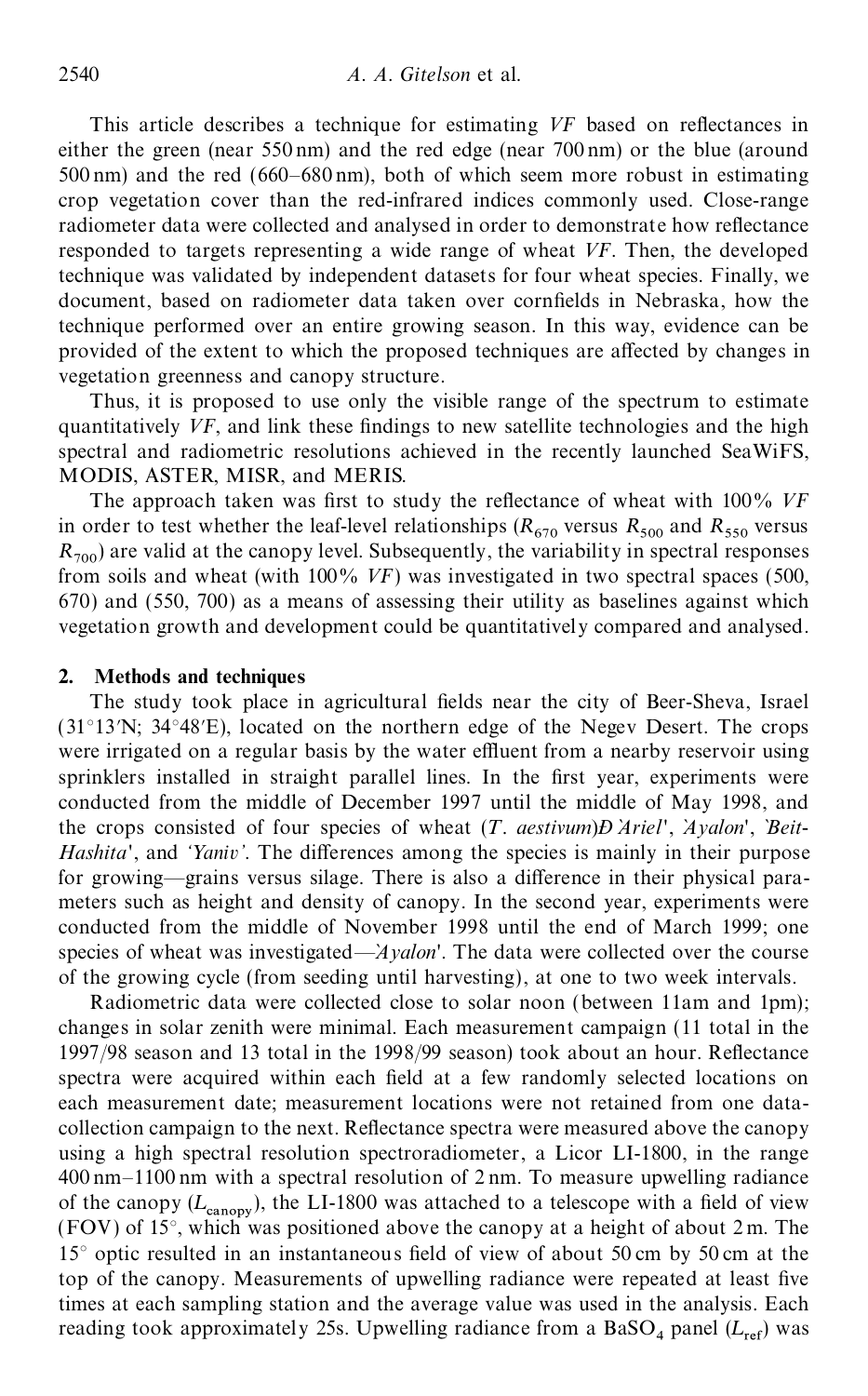This article describes a technique for estimating VF based on reflectances in either the green (near 550 nm) and the red edge (near 700 nm) or the blue (around 500 nm) and the red (660–680 nm), both of which seem more robust in estimating crop vegetation cover than the red-infrared indices commonly used. Close-range radiometer data were collected and analysed in order to demonstrate how reflectance responded to targets representing a wide range of wheat *VF*. Then, the developed technique was validated by independent datasets for four wheat species. Finally, we document, based on radiometer data taken over cornfields in Nebraska, how the technique performed over an entire growing season. In this way, evidence can be provided of the extent to which the proposed techniques are affected by changes in vegetation greenness and canopy structure.

Thus, it is proposed to use only the visible range of the spectrum to estimate quantitatively *VF*, and link these findings to new satellite technologies and the high spectral and radiometric resolutions achieved in the recently launched SeaWiFS, MODIS, ASTER, MISR, and MERIS.

The approach taken was first to study the reflectance of wheat with 100% VF in order to test whether the leaf-level relationships  $(R_{670}$  versus  $R_{500}$  and  $R_{550}$  versus  $R_{700}$ ) are valid at the canopy level. Subsequently, the variability in spectral responses from soils and wheat (with 100% *VF*) was investigated in two spectral spaces (500, 670) and (550, 700) as a means of assessing their utility as baselines against which vegetation growth and development could be quantitatively compared and analysed.

#### **2. Methods and techniques**

The study took place in agricultural fields near the city of Beer-Sheva, Israel  $(31^{\circ}13'N; 34^{\circ}48'E)$ , located on the northern edge of the Negev Desert. The crops were irrigated on a regular basis by the water effluent from a nearby reservoir using sprinklers installed in straight parallel lines. In the first year, experiments were conducted from the middle of December 1997 until the middle of May 1998, and the crops consisted of four species of wheat (*T*. *aestivum*)*Ð Ariel* ` ', *Ayalon* ` ', `*Beit*- *Hashita*', and '*Yaniv*'. The differences among the species is mainly in their purpose for growing—grains versus silage. There is also a difference in their physical parameters such as height and density of canopy. In the second year, experiments were conducted from the middle of November 1998 until the end of March 1999; one species of wheat was investigated—*Ayalon*'. The data were collected over the course of the growing cycle (from seeding until harvesting), at one to two week intervals.

Radiometric data were collected close to solar noon (between 11am and 1pm); changes in solar zenith were minimal. Each measurement campaign (11 total in the  $1997/98$  season and 13 total in the 1998/99 season) took about an hour. Reflectance spectra were acquired within each field at a few randomly selected locations on each measurement date; measurement locations were not retained from one data collection campaign to the next. Reflectance spectra were measured above the canopy using a high spectral resolution spectroradiometer, a Licor LI-1800, in the range 400 nm–1100 nm with a spectral resolution of 2 nm. To measure upwelling radiance of the canopy  $(L_{\text{canopy}})$ , the LI-1800 was attached to a telescope with a field of view (FOV) of 15°, which was positioned above the canopy at a height of about 2 m. The  $15^{\circ}$  optic resulted in an instantaneous field of view of about 50 cm by 50 cm at the top of the canopy. Measurements of upwelling radiance were repeated at least five times at each sampling station and the average value was used in the analysis. Each reading took approximately 25s. Upwelling radiance from a BaSO<sub>4</sub> panel ( $L_{ref}$ ) was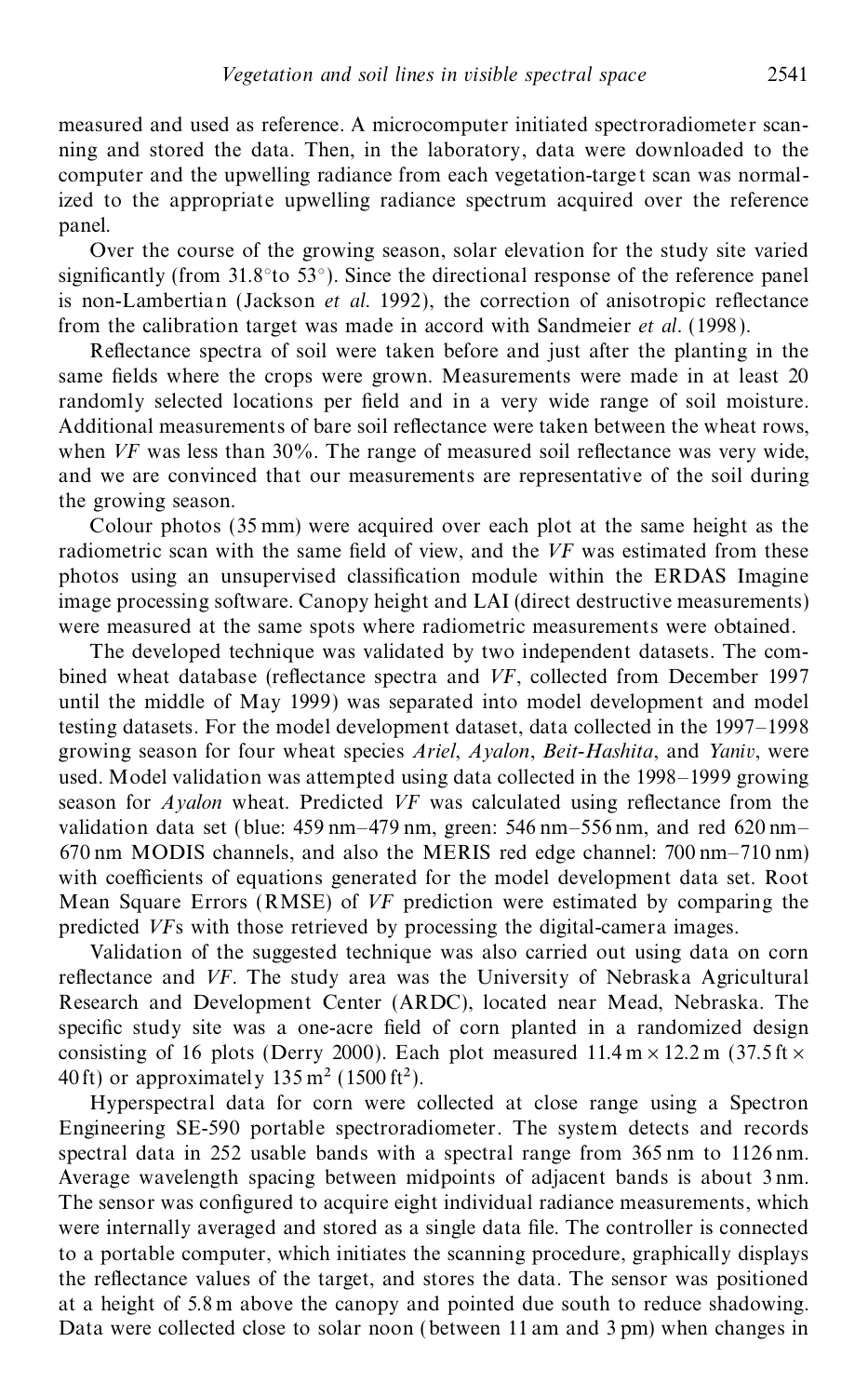measured and used as reference. A microcomputer initiated spectroradiometer scan ning and stored the data. Then, in the laboratory, data were downloaded to the computer and the upwelling radiance from each vegetation-targe t scan was normalized to the appropriate upwelling radiance spectrum acquired over the reference panel.

Over the course of the growing season, solar elevation for the study site varied significantly (from  $31.8^{\circ}$  to  $53^{\circ}$ ). Since the directional response of the reference panel is non-Lambertian (Jackson *et al.* 1992), the correction of anisotropic reflectance from the calibration target was made in accord with Sandmeier *et al.* (1998 ).

Reflectance spectra of soil were taken before and just after the planting in the same fields where the crops were grown. Measurements were made in at least 20 randomly selected locations per field and in a very wide range of soil moisture. Additional measurements of bare soil reflectance were taken between the wheat rows, when  $VF$  was less than  $30\%$ . The range of measured soil reflectance was very wide, and we are convinced that our measurements are representative of the soil during the growing season.

Colour photos (35 mm) were acquired over each plot at the same height as the radiometric scan with the same field of view, and the *VF* was estimated from these photos using an unsupervised classification module within the ERDAS Imagine image processing software. Canopy height and LAI (direct destructive measurements) were measured at the same spots where radiometric measurements were obtained.

The developed technique was validated by two independent datasets. The com bined wheat database (reflectance spectra and *VF*, collected from December 1997 until the middle of May 1999) was separated into model development and model testing datasets. For the model development dataset, data collected in the 1997–1998 growing season for four wheat species *Ariel*, *Ayalon*, *Beit*-*Hashita*, and *Yaniv*, were used. Model validation was attempted using data collected in the 1998–1999 growing season for *Ayalon* wheat. Predicted *VF* was calculated using reflectance from the validation data set (blue: 459 nm–479 nm, green: 546 nm–556 nm, and red 620 nm– 670 nm MODIS channels, and also the MERIS red edge channel: 700 nm–710 nm) with coefficients of equations generated for the model development data set. Root Mean Square Errors (RMSE) of *VF* prediction were estimated by comparing the predicted *VF*s with those retrieved by processing the digital-camera images.

Validation of the suggested technique was also carried out using data on corn reflectance and VF. The study area was the University of Nebraska Agricultural Research and Development Center (ARDC), located near Mead, Nebraska. The specific study site was a one-acre field of corn planted in a randomized design consisting of 16 plots (Derry 2000). Each plot measured  $11.4 \text{ m} \times 12.2 \text{ m}$  (37.5 ft  $\times$ 40 ft) or approximately  $135 \text{ m}^2$  (1500 ft<sup>2</sup>).

Hyperspectral data for corn were collected at close range using a Spectron Engineering SE-590 portable spectroradiometer. The system detects and records spectral data in 252 usable bands with a spectral range from 365 nm to 1126 nm. Average wavelength spacing between midpoints of adjacent bands is about 3 nm. The sensor was configured to acquire eight individual radiance measurements, which were internally averaged and stored as a single data file. The controller is connected to a portable computer, which initiates the scanning procedure, graphically displays the reflectance values of the target, and stores the data. The sensor was positioned at a height of 5.8 m above the canopy and pointed due south to reduce shadowing. Data were collected close to solar noon (between 11 am and 3 pm) when changes in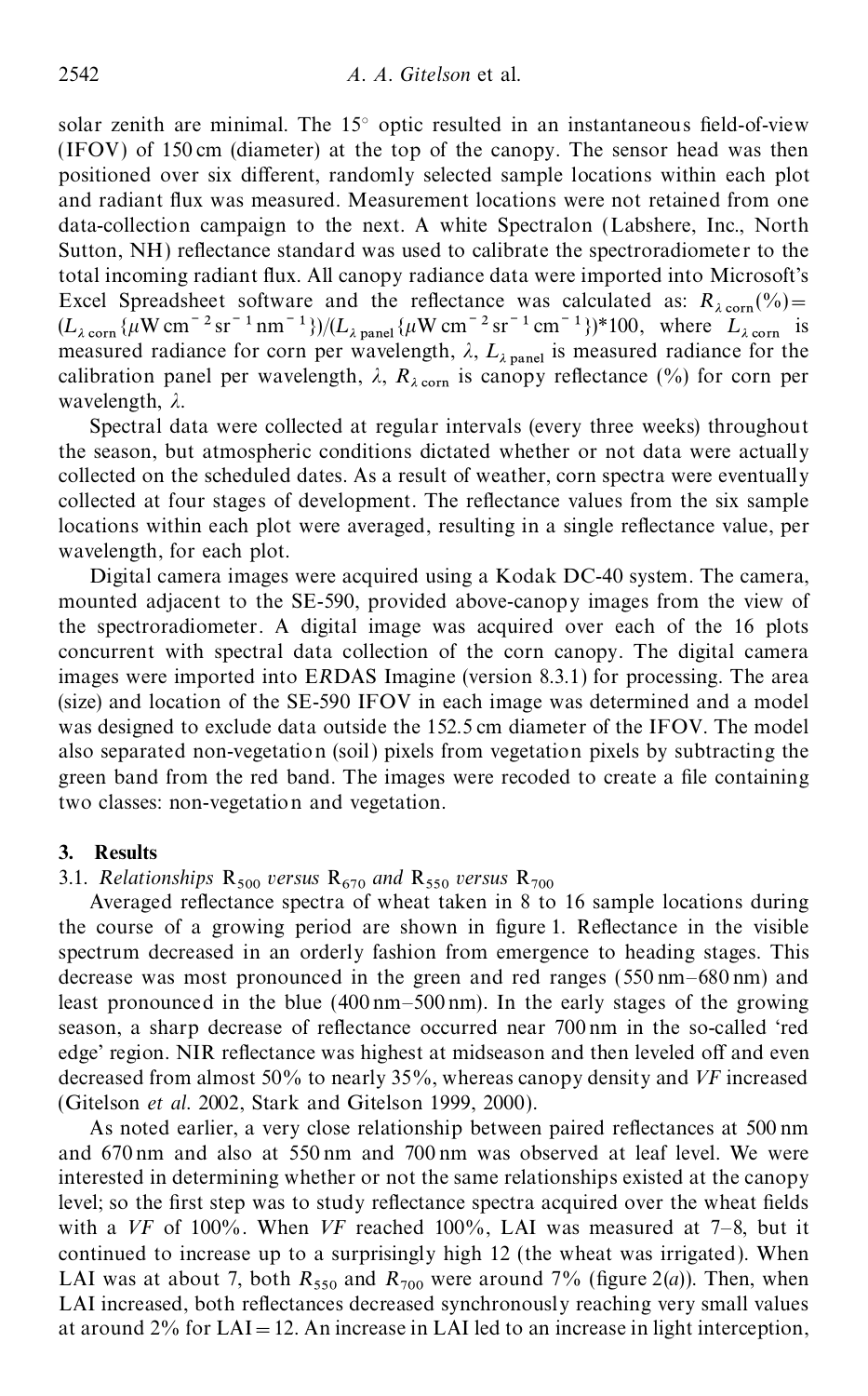solar zenith are minimal. The  $15^{\circ}$  optic resulted in an instantaneous field-of-view (IFOV) of 150 cm (diameter) at the top of the canopy. The sensor head was then positioned over six different, randomly selected sample locations within each plot and radiant flux was measured. Measurement locations were not retained from one data-collection campaign to the next. A white Spectralon (Labshere, Inc., North Sutton, NH) reflectance standard was used to calibrate the spectroradiometer to the total incoming radiant flux. All canopy radiance data were imported into Microsoft's Excel Spreadsheet software and the reflectance was calculated as:  $R_{\lambda \text{ corn}}(\%) =$ <br>  $(L_{\lambda \text{ corn}}\{\mu\text{W cm}^{-2}\text{sr}^{-1}\text{nm}^{-1}\})/(L_{\lambda \text{ panel}}\{\mu\text{W cm}^{-2}\text{sr}^{-1}\text{cm}^{-1}\})^*\text{100}$ , where  $L_{\lambda \text{ corn}}$  is measured radiance for corn per wavelength,  $\lambda$ ,  $L_{\lambda \text{ panel}}$  is measured radiance for the calibration panel per wavelength,  $\lambda$ ,  $R_{\lambda \text{ corn}}$  is canopy reflectance (%) for corn per wavelength,  $\lambda$ .

Spectral data were collected at regular intervals (every three weeks) throughout the season, but atmospheric conditions dictated whether or not data were actually collected on the scheduled dates. As a result of weather, corn spectra were eventually collected at four stages of development. The reflectance values from the six sample locations within each plot were averaged, resulting in a single reflectance value, per wavelength, for each plot.

Digital camera images were acquired using a Kodak DC-40 system. The camera, mounted adjacent to the SE-590, provided above-canopy images from the view of the spectroradiometer. A digital image was acquired over each of the 16 plots concurrent with spectral data collection of the corn canopy. The digital camera images were imported into E*R*DAS Imagine (version 8.3.1) for processing. The area (size) and location of the SE-590 IFOV in each image was determined and a model was designed to exclude data outside the 152.5 cm diameter of the IFOV. The model also separated non-vegetation (soil) pixels from vegetation pixels by subtracting the green band from the red band. The images were recoded to create a file containing two classes: non-vegetation and vegetation.

#### **3. Results**

# 3.1. *Relationships* R *500 versus* R *670 and* R *550 versus* R

Averaged reflectance spectra of wheat taken in 8 to 16 sample locations during the course of a growing period are shown in figure 1. Reflectance in the visible spectrum decreased in an orderly fashion from emergence to heading stages. This decrease was most pronounced in the green and red ranges (550 nm–680 nm) and least pronounced in the blue (400 nm–500 nm). In the early stages of the growing season, a sharp decrease of reflectance occurred near 700 nm in the so-called 'red edge' region. NIR reflectance was highest at midseason and then leveled off and even decreased from almost 50% to nearly 35%, whereas canopy density and *VF* increased (Gitelson *et al.* 2002, Stark and Gitelson 1999, 2000).

As noted earlier, a very close relationship between paired reflectances at 500 nm and 670 nm and also at 550 nm and 700 nm was observed at leaf level. We were interested in determining whether or not the same relationships existed at the canopy level; so the first step was to study reflectance spectra acquired over the wheat fields with a *VF* of 100%. When *VF* reached 100%, LAI was measured at 7–8, but it continued to increase up to a surprisingly high 12 (the wheat was irrigated). When LAI was at about 7, both  $R_{550}$  and  $R_{700}$  were around 7% (figure 2(*a*)). Then, when LAI increased, both reflectances decreased synchronously reaching very small values at around  $2\%$  for LAI = 12. An increase in LAI led to an increase in light interception,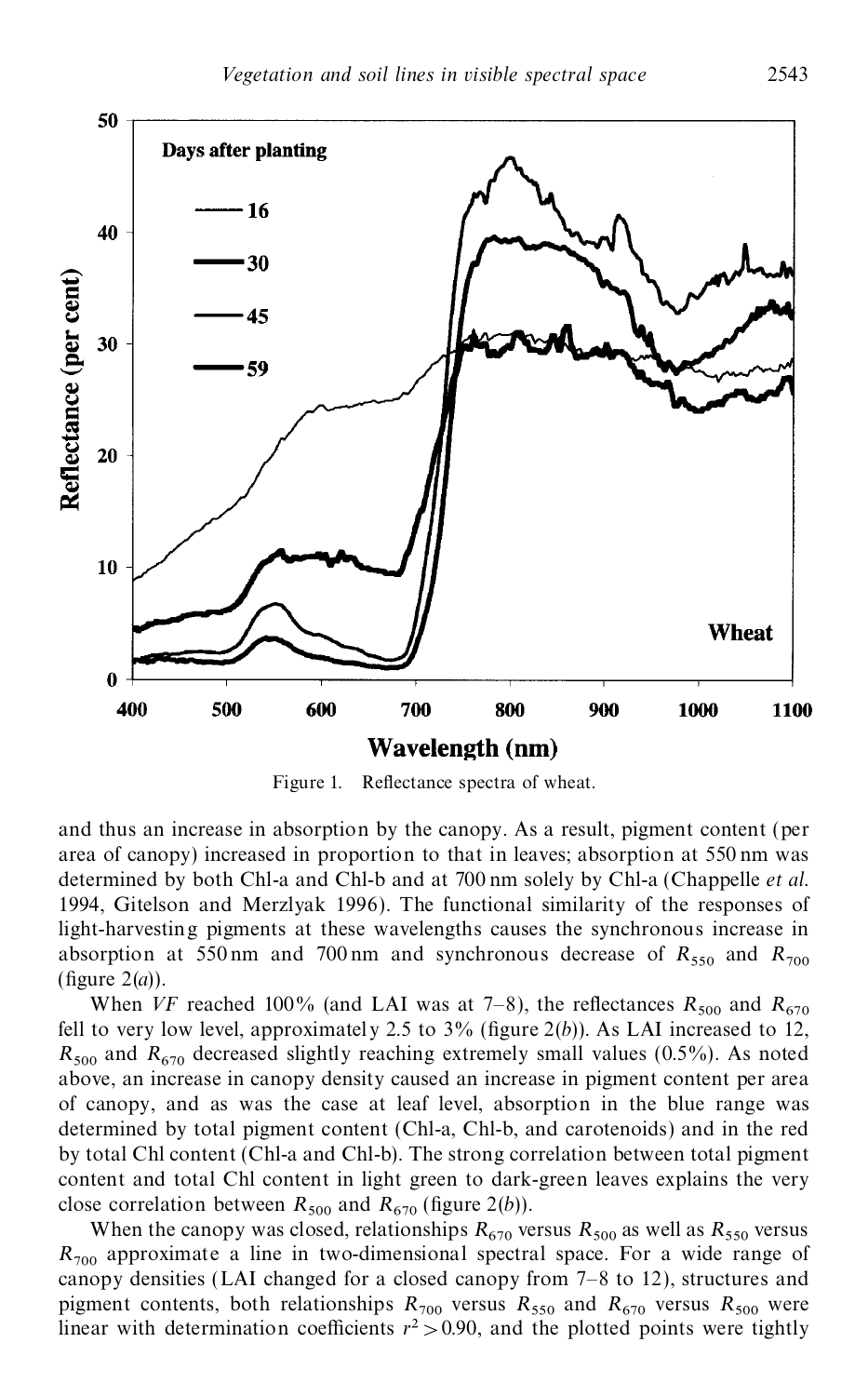

Figure 1. Reflectance spectra of wheat.

and thus an increase in absorption by the canopy. As a result, pigment content (per area of canopy) increased in proportion to that in leaves; absorption at 550 nm was determined by both Chl-a and Chl-b and at 700 nm solely by Chl-a (Chappelle *et al.* 1994, Gitelson and Merzlyak 1996). The functional similarity of the responses of light-harvesting pigments at these wavelengths causes the synchronous increase in absorption at 550 nm and 700 nm and synchronous decrease of  $R_{550}$  and  $R_{700}$  (figure 2(*a*)).

When *VF* reached 100% (and LAI was at 7–8), the reflectances  $R_{500}$  and  $R_{670}$ fell to very low level, approximately 2.5 to  $3\%$  (figure 2(*b*)). As LAI increased to 12,  $R_{500}$  and  $R_{670}$  decreased slightly reaching extremely small values (0.5%). As noted above, an increase in canopy density caused an increase in pigment content per area of canopy, and as was the case at leaf level, absorption in the blue range was determined by total pigment content (Chl-a, Chl-b, and carotenoids) and in the red by total Chl content (Chl-a and Chl-b). The strong correlation between total pigment content and total Chl content in light green to dark-green leaves explains the very close correlation between  $R_{500}$  and  $R_{670}$  (figure 2(*b*)).

When the canopy was closed, relationships  $R_{670}$  versus  $R_{500}$  as well as  $R_{550}$  versus  $R_{700}$  approximate a line in two-dimensional spectral space. For a wide range of canopy densities (LAI changed for a closed canopy from 7–8 to 12), structures and pigment contents, both relationships  $R_{700}$  versus  $R_{550}$  and  $R_{670}$  versus  $R_{500}$  were linear with determination coefficients  $r^2 > 0.90$ , and the plotted points were tightly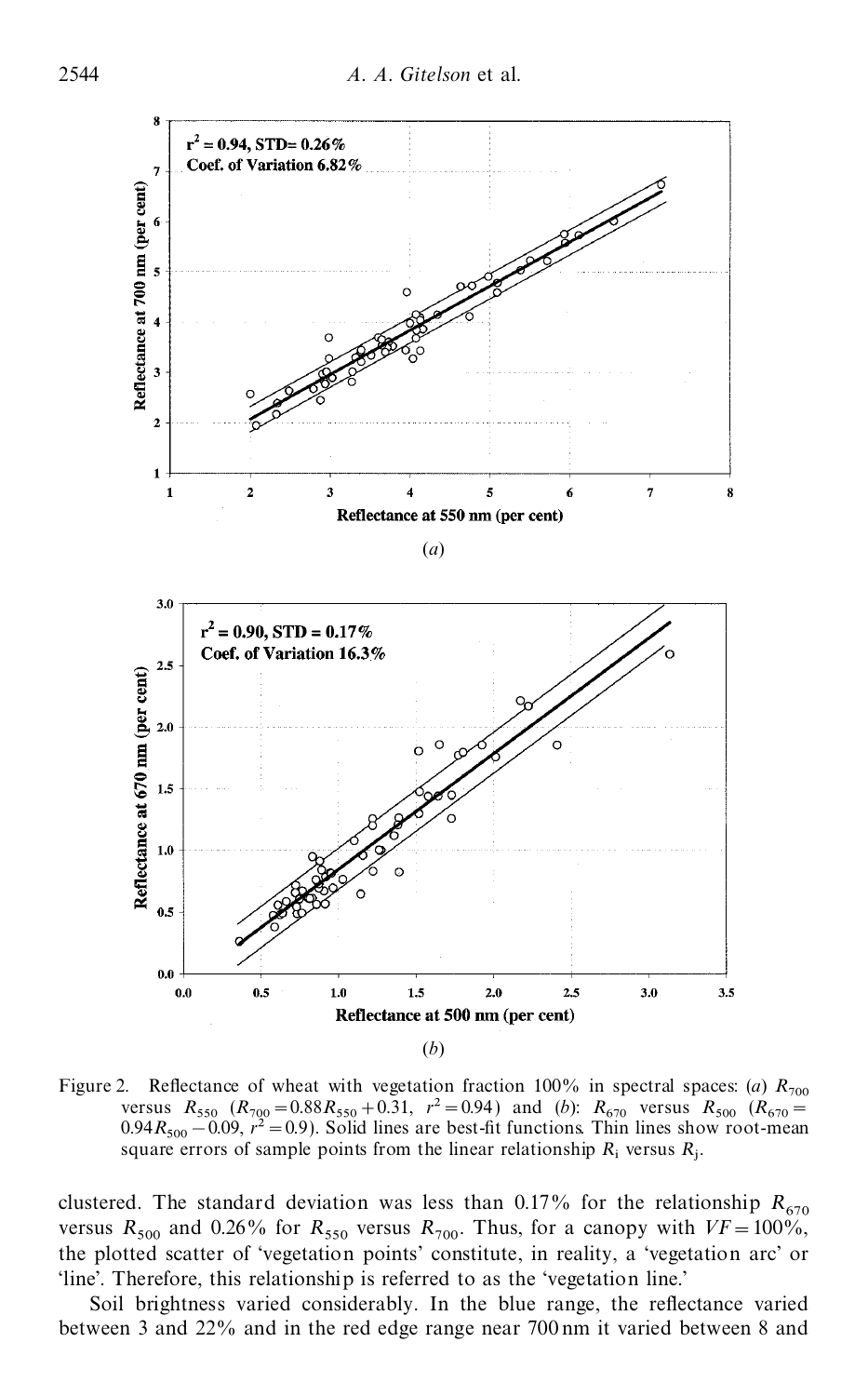

Figure 2. Reflectance of wheat with vegetation fraction 100% in spectral spaces: (*a*)  $R_{700}$  $R_{550}$  ( $R_{700}$  = 0.88 $R_{550}$  + 0.31,  $r^2$  = 0.94) and (*b*):  $R_{670}$  versus  $R_{500}$  ( $R_{670}$  = 0.88 $R_{500}$  + 0.31,  $r^2$  = 0.94) and (*b*):  $R_{670}$  versus  $R_{500}$  ( $R_{670}$  =  $0.94R_{500} - 0.09$ ,  $r^2 = 0.9$ ). Solid lines are best-fit functions. Thin lines show root-mean square errors of sample points from the linear relationship  $R_i$  versus  $R_j$ .

clustered. The standard deviation was less than 0.17% for the relationship  $R_{670}$ versus  $R_{500}$  and 0.26% for  $R_{550}$  versus  $R_{700}$ . Thus, for a canopy with  $VF = 100\%$ , the plotted scatter of 'vegetation points' constitute, in reality, a 'vegetation arc' or 'line'. Therefore, this relationship is referred to as the 'vegetation line.'

Soil brightness varied considerably. In the blue range, the reflectance varied between 3 and 22% and in the red edge range near 700 nm it varied between 8 and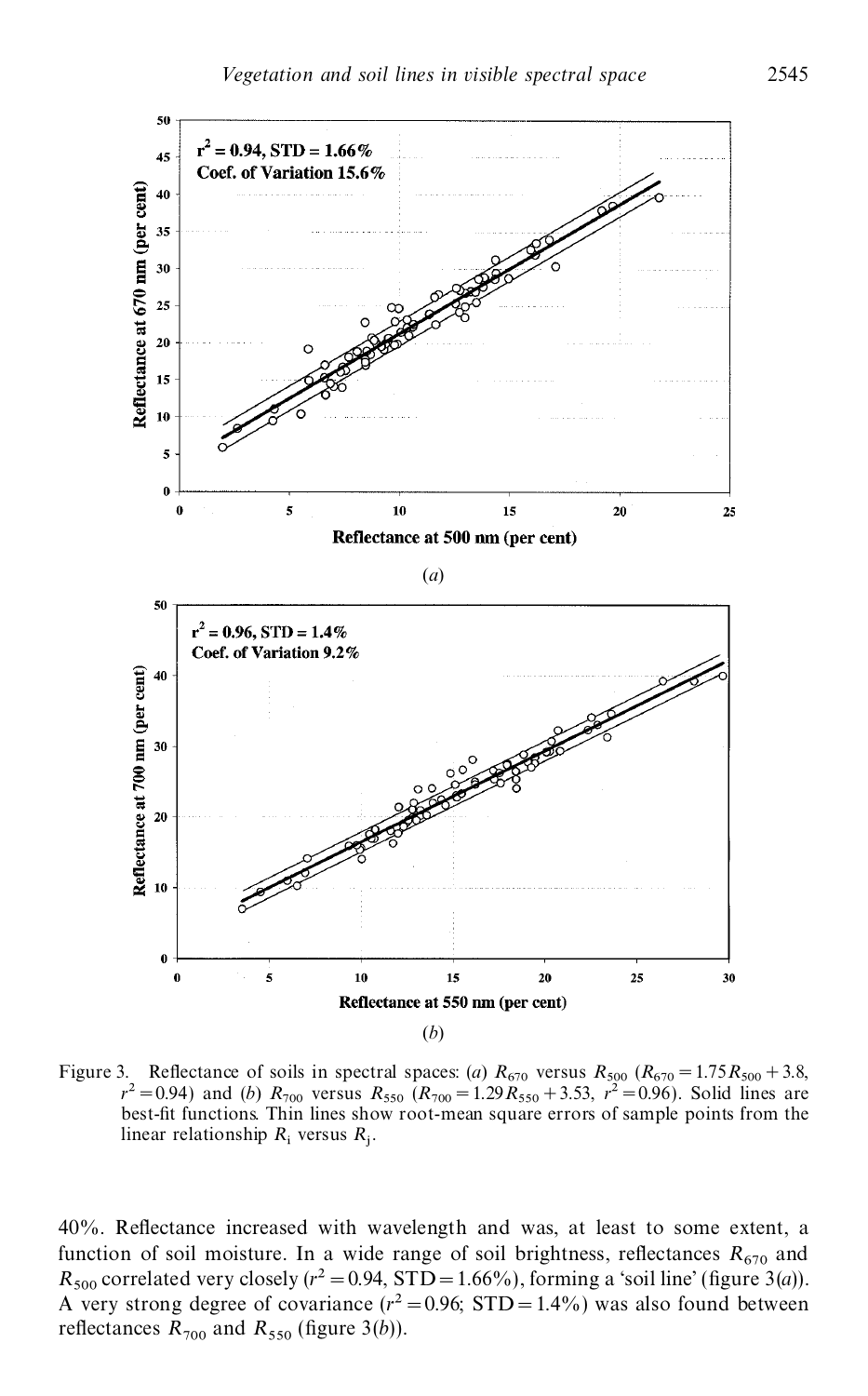

Figure 3. Reflectance of soils in spectral spaces: (*a*)  $R_{670}$  versus  $R_{500}$   $(R_{670} = 1.75 R_{500} + 2.62 R_{500} + 2.62 R_{500} + 2.62 R_{500} + 2.62 R_{500} + 2.62 R_{500} + 2.62 R_{500} + 2.62 R_{500} + 2.62 R_{500} + 2.62 R_{500} + 2.62 R_{500}$ 3. Reflectance of soils in spectral spaces: (a)  $R_{670}$  versus  $R_{500}$  ( $R_{670} = 1.75R_{500} + 3.8$ ,  $r^2 = 0.94$ ) and (b)  $R_{700}$  versus  $R_{550}$  ( $R_{700} = 1.29R_{550} + 3.53$ ,  $r^2 = 0.96$ ). Solid lines are best-fit functi linear relationship  $R_i$  versus  $R_j$ .

40%. Reflectance increased with wavelength and was, at least to some extent, a function of soil moisture. In a wide range of soil brightness, reflectances  $R_{670}$  and  $R_{500}$  correlated very closely ( $r^2 = 0.94$ , STD = 1.66%), forming a 'soil line' (figure 3(*a*)). A very strong degree of covariance  $(r^2 = 0.96; STD = 1.4\%)$  was also found between reflectances  $R_{700}$  and  $R_{550}$  (figure 3(*b*)).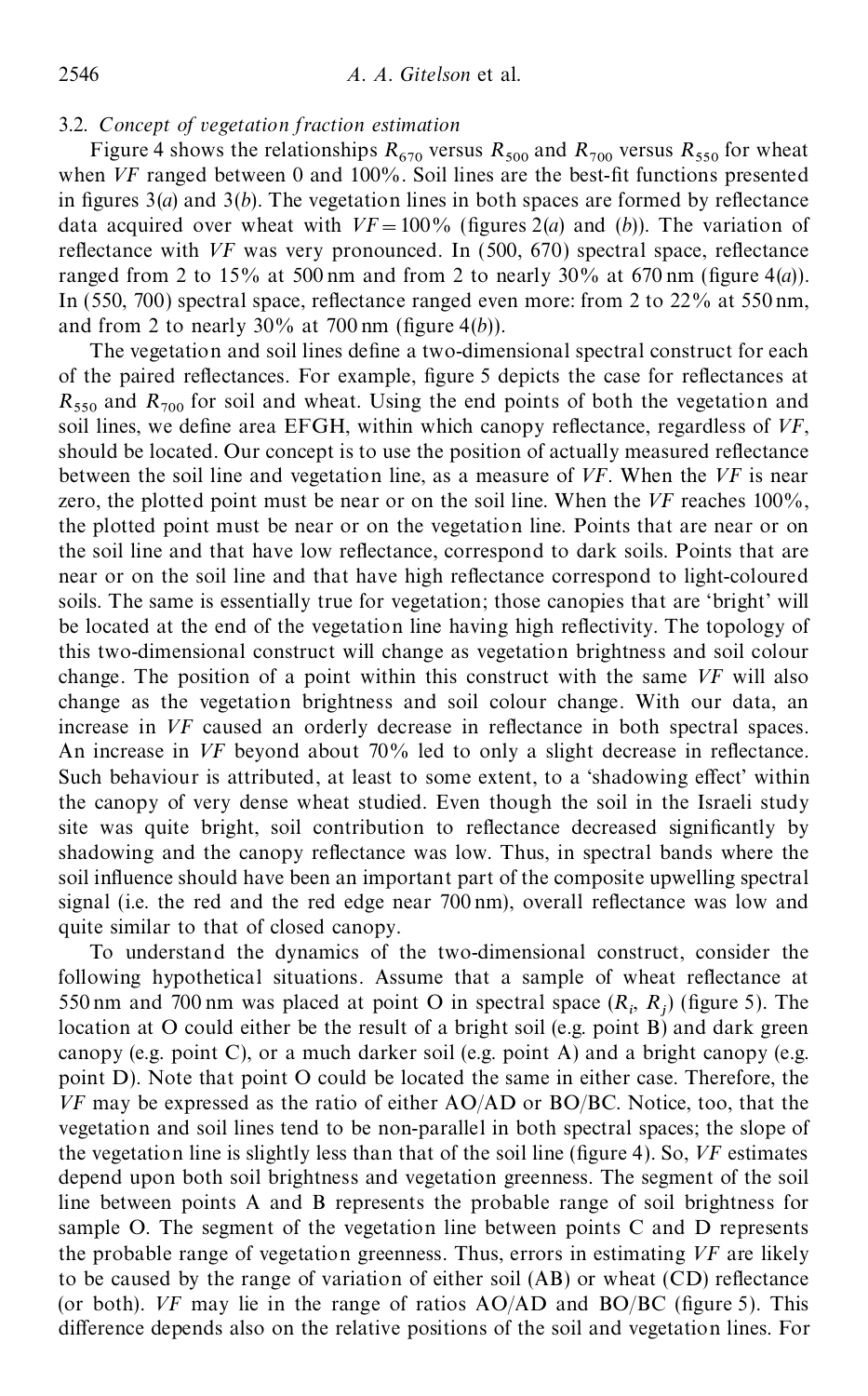## 3.2. *Concept of vegetation fraction estimation*

Figure 4 shows the relationships  $R_{670}$  versus  $R_{500}$  and  $R_{700}$  versus  $R_{550}$  for wheat when *VF* ranged between 0 and 100%. Soil lines are the best-fit functions presented in figures  $3(a)$  and  $3(b)$ . The vegetation lines in both spaces are formed by reflectance data acquired over wheat with  $VF = 100\%$  (figures 2(*a*) and (*b*)). The variation of reflectance with *VF* was very pronounced. In (500, 670) spectral space, reflectance ranged from 2 to 15% at 500 nm and from 2 to nearly  $30\%$  at 670 nm (figure 4(*a*)). In  $(550, 700)$  spectral space, reflectance ranged even more: from 2 to  $22\%$  at  $550 \text{ nm}$ , and from 2 to nearly  $30\%$  at 700 nm (figure 4(*b*)).

The vegetation and soil lines define a two-dimensional spectral construct for each of the paired reflectances. For example, figure 5 depicts the case for reflectances at  $R_{\rm 550}$  and  $R_{\rm 700}$  for soil and wheat. Using the end points of both the vegetation and soil lines, we define area EFGH, within which canopy reflectance, regardless of VF, should be located. Our concept is to use the position of actually measured reflectance between the soil line and vegetation line, as a measure of *VF*. When the *VF* is near zero, the plotted point must be near or on the soil line. When the *VF* reaches 100%, the plotted point must be near or on the vegetation line. Points that are near or on the soil line and that have low reflectance, correspond to dark soils. Points that are near or on the soil line and that have high reflectance correspond to light-coloured soils. The same is essentially true for vegetation; those canopies that are 'bright' will be located at the end of the vegetation line having high reflectivity. The topology of this two-dimensional construct will change as vegetation brightness and soil colour change. The position of a point within this construct with the same *VF* will also change as the vegetation brightness and soil colour change. With our data, an increase in *VF* caused an orderly decrease in reflectance in both spectral spaces. An increase in *VF* beyond about 70% led to only a slight decrease in reflectance. Such behaviour is attributed, at least to some extent, to a 'shadowing effect' within the canopy of very dense wheat studied. Even though the soil in the Israeli study site was quite bright, soil contribution to reflectance decreased significantly by shadowing and the canopy reflectance was low. Thus, in spectral bands where the soil influence should have been an important part of the composite upwelling spectral signal (i.e. the red and the red edge near  $700 \text{ nm}$ ), overall reflectance was low and quite similar to that of closed canopy.

To understand the dynamics of the two-dimensional construct, consider the following hypothetical situations. Assume that a sample of wheat reflectance at 550 nm and 700 nm was placed at point O in spectral space  $(R_i, R_j)$  (figure 5). The location at O could either be the result of a bright soil (e.g. point B) and dark green canopy (e.g. point C), or a much darker soil (e.g. point A) and a bright canopy (e.g. point D). Note that point O could be located the same in either case. Therefore, the *VF* may be expressed as the ratio of either AO/AD or BO/BC. Notice, too, that the vegetation and soil lines tend to be non-parallel in both spectral spaces; the slope of the vegetation line is slightly less than that of the soil line (figure 4). So, *VF* estimates depend upon both soil brightness and vegetation greenness. The segment of the soil line between points A and B represents the probable range of soil brightness for sample O. The segment of the vegetation line between points C and D represents the probable range of vegetation greenness. Thus, errors in estimating *VF* are likely to be caused by the range of variation of either soil  $(AB)$  or wheat  $(CD)$  reflectance (or both).  $VF$  may lie in the range of ratios  $AO/AD$  and  $BO/BC$  (figure 5). This difference depends also on the relative positions of the soil and vegetation lines. For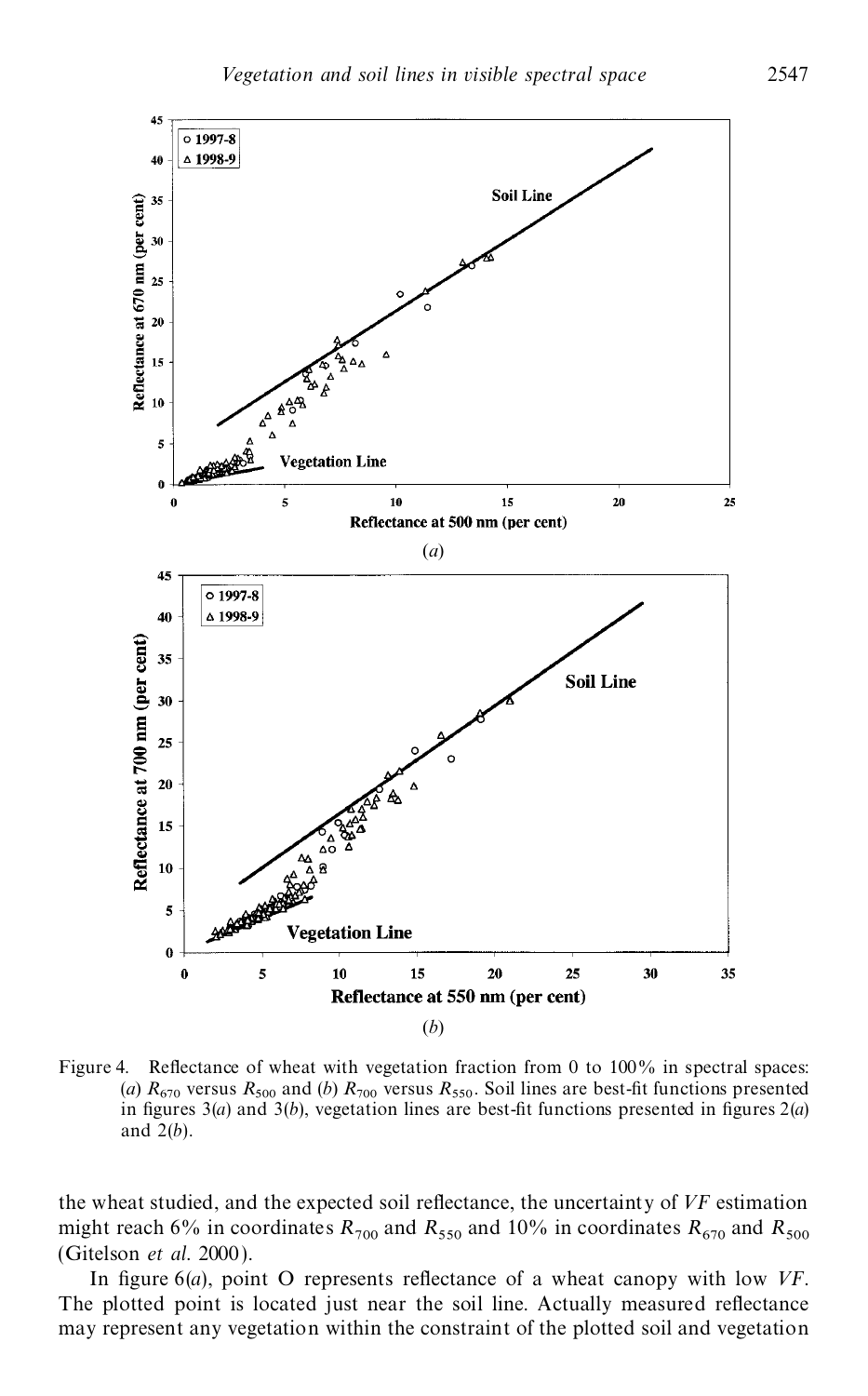

Figure 4. Reflectance of wheat with vegetation fraction from 0 to  $100\%$  in spectral spaces: (*a*)  $R_{670}$  versus  $R_{500}$  and (*b*)  $R_{700}$  versus  $R_{550}$ . Soil lines are best-fit functions presented in figures  $3(a)$  and  $3(b)$ , vegetation lines are best-fit functions presented in figures  $2(a)$ and 2(*b*).

the wheat studied, and the expected soil reflectance, the uncertainty of VF estimation might reach 6% in coordinates  $R_{700}$  and  $R_{550}$  and 10% in coordinates  $R_{670}$  and  $R_{500}$ <br>(Gitelson *et al.* 2000).

In figure  $6(a)$ , point O represents reflectance of a wheat canopy with low *VF*. The plotted point is located just near the soil line. Actually measured reflectance may represent any vegetation within the constraint of the plotted soil and vegetation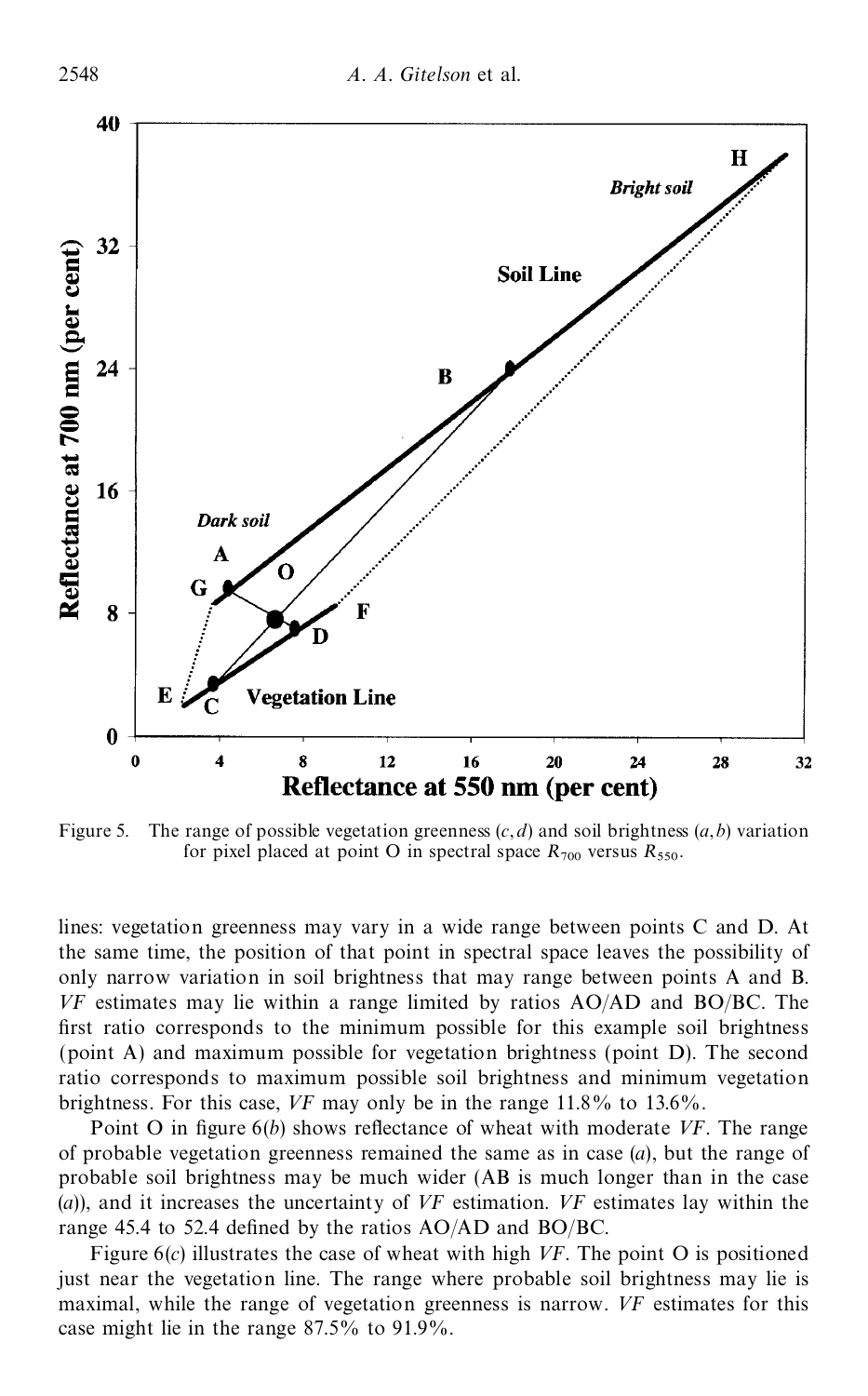

Figure 5. The range of possible vegetation greenness  $(c, d)$  and soil brightness  $(a, b)$  variation for pixel placed at point O in spectral space  $R_{700}$  versus  $R_{550}$ .

lines: vegetation greenness may vary in a wide range between points C and D. At the same time, the position of that point in spectral space leaves the possibility of only narrow variation in soil brightness that may range between points A and B. *VF* estimates may lie within a range limited by ratios AO/AD and BO/BC. The first ratio corresponds to the minimum possible for this example soil brightness (point A) and maximum possible for vegetation brightness (point D). The second ratio corresponds to maximum possible soil brightness and minimum vegetation brightness. For this case, *VF* may only be in the range 11.8% to 13.6%.

Point O in figure  $6(b)$  shows reflectance of wheat with moderate *VF*. The range of probable vegetation greenness remained the same as in case (*a*), but the range of probable soil brightness may be much wider (AB is much longer than in the case (*a*)), and it increases the uncertainty of *VF* estimation. *VF* estimates lay within the range 45.4 to 52.4 defined by the ratios  $AO/AD$  and  $BO/BC$ .

Figure 6(*c*) illustrates the case of wheat with high *VF*. The point O is positioned just near the vegetation line. The range where probable soil brightness may lie is maximal, while the range of vegetation greenness is narrow. *VF* estimates for this case might lie in the range 87.5% to 91.9%.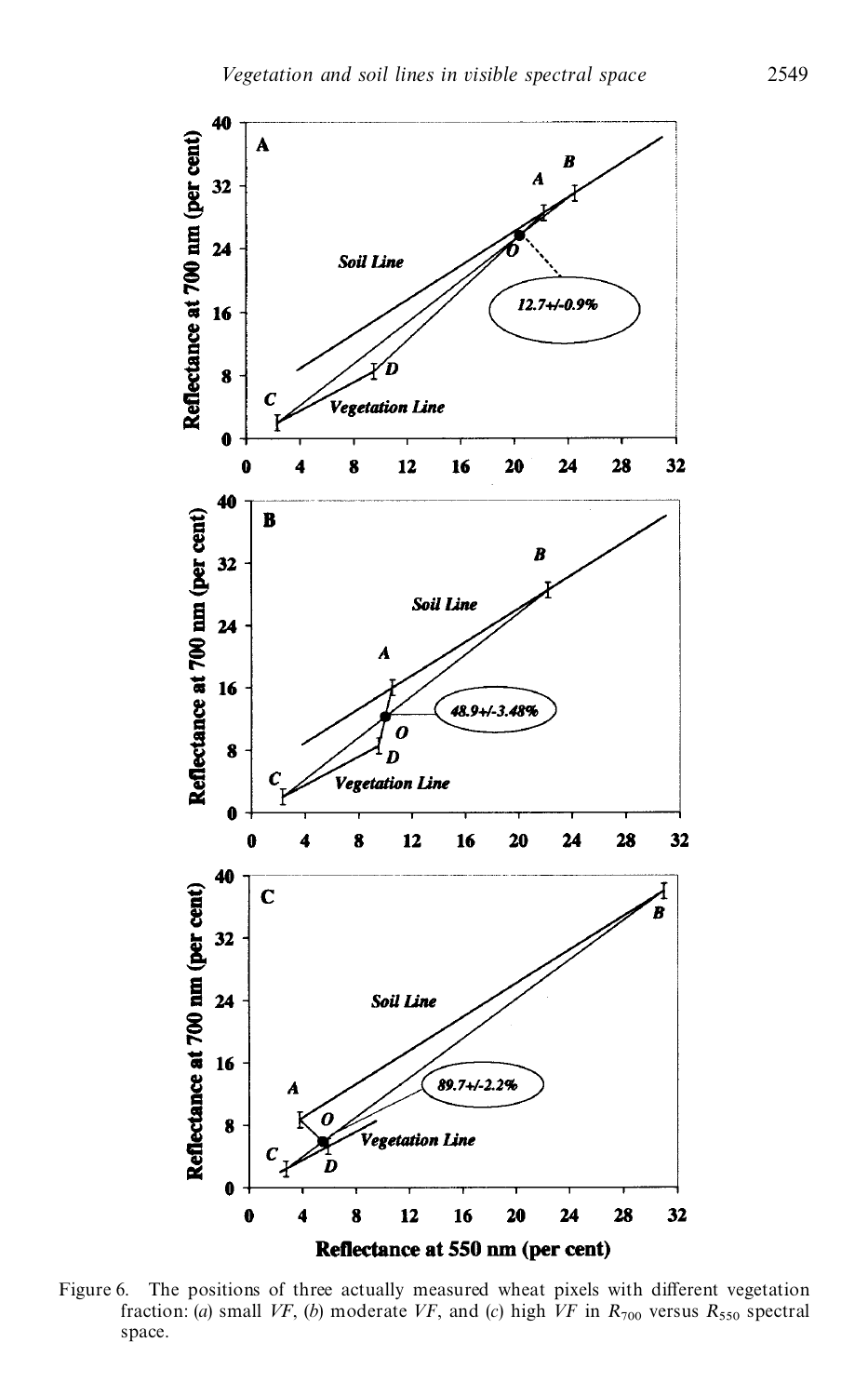

Figure 6. The positions of three actually measured wheat pixels with different vegetation fraction: (*a*) small *VF*, (*b*) moderate *VF*, and (*c*) high *VF* in  $R_{700}$  versus  $R_{550}$  spectral space.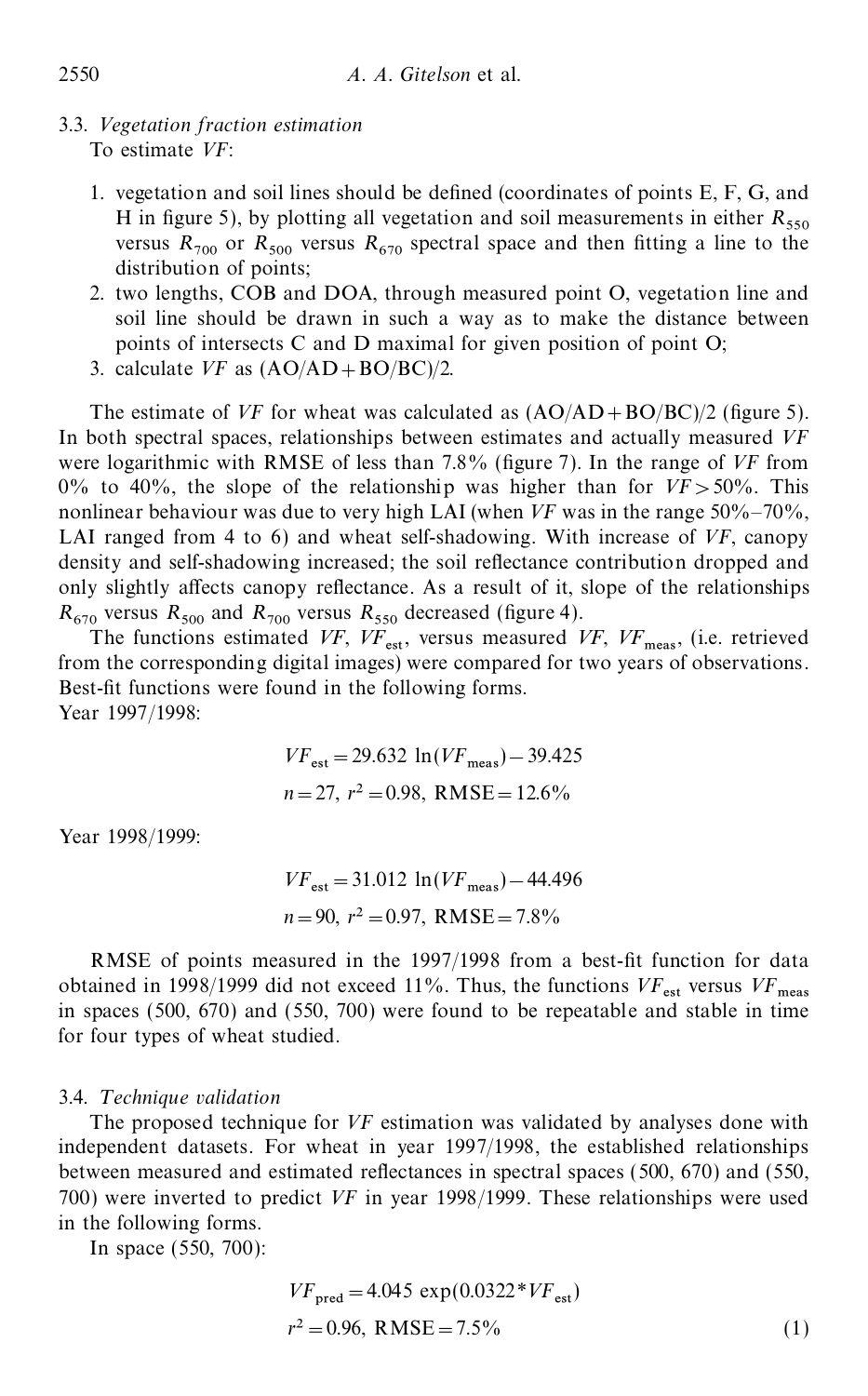- 3.3. *Vegetation fraction estimation* To estimate *VF*:
	- 1. vegetation and soil lines should be defined (coordinates of points  $E, F, G$ , and H in figure 5), by plotting all vegetation and soil measurements in either  $R_{550}$ Figure 5), by plotting an vegetation and son incastrements in entity  $R_{550}$ <br>versus  $R_{700}$  or  $R_{500}$  versus  $R_{670}$  spectral space and then fitting a line to the distribution of points;
	- 2. two lengths, COB and DOA, through measured point O, vegetation line and soil line should be drawn in such a way as to make the distance between points of intersects C and D maximal for given position of point O;
	- 3. calculate *VF* as (AO/AD+BO/BC)/2.

The estimate of *VF* for wheat was calculated as  $(AO/AD+BO/BC)/2$  (figure 5). In both spectral spaces, relationships between estimates and actually measured *VF* were logarithmic with RMSE of less than 7.8% (figure 7). In the range of *VF* from 0% to 40%, the slope of the relationship was higher than for  $VF > 50\%$ . This nonlinear behaviour was due to very high LAI (when *VF* was in the range 50%–70%, LAI ranged from 4 to 6) and wheat self-shadowing. With increase of *VF*, canopy density and self-shadowing increased; the soil reflectance contribution dropped and only slightly affects canopy reflectance. As a result of it, slope of the relationships  $R_{670}$  versus  $R_{500}$  and  $R_{700}$  versus  $R_{550}$  decreased (figure 4).

The functions estimated *VF*,  $VF_{est}$ , versus measured *VF*,  $VF_{meas}$ , (i.e. retrieved from the corresponding digital images) were compared for two years of observations. Best-fit functions were found in the following forms. Year 1997/1998:

$$
VF_{est} = 29.632 \ln(VF_{meas}) - 39.425
$$
  
n = 27, r<sup>2</sup> = 0.98, RMSE = 12.6%

Year 1998/1999:

$$
VF_{\text{est}} = 31.012 \ln(VF_{\text{meas}}) - 44.496
$$
  
n = 90, r<sup>2</sup> = 0.97, RMSE = 7.8%

RMSE of points measured in the 1997/1998 from a best-fit function for data obtained in 1998/1999 did not exceed 11%. Thus, the functions  $VF_{\text{est}}$  versus  $VF_{\text{meas}}$ in spaces  $(500, 670)$  and  $(550, 700)$  were found to be repeatable and stable in time for four types of wheat studied.

### 3.4. *T echnique validation*

The proposed technique for *VF* estimation was validated by analyses done with independent datasets. For wheat in year 1997/1998, the established relationships between measured and estimated reflectances in spectral spaces  $(500, 670)$  and  $(550,$ 700) were inverted to predict *VF* in year 1998/1999. These relationships were used in the following forms.

In space (550, 700):

$$
VF_{\text{pred}} = 4.045 \exp(0.0322 \cdot \text{VF}_{\text{est}})
$$
  

$$
r^2 = 0.96, \text{ RMSE} = 7.5\%
$$
 (1)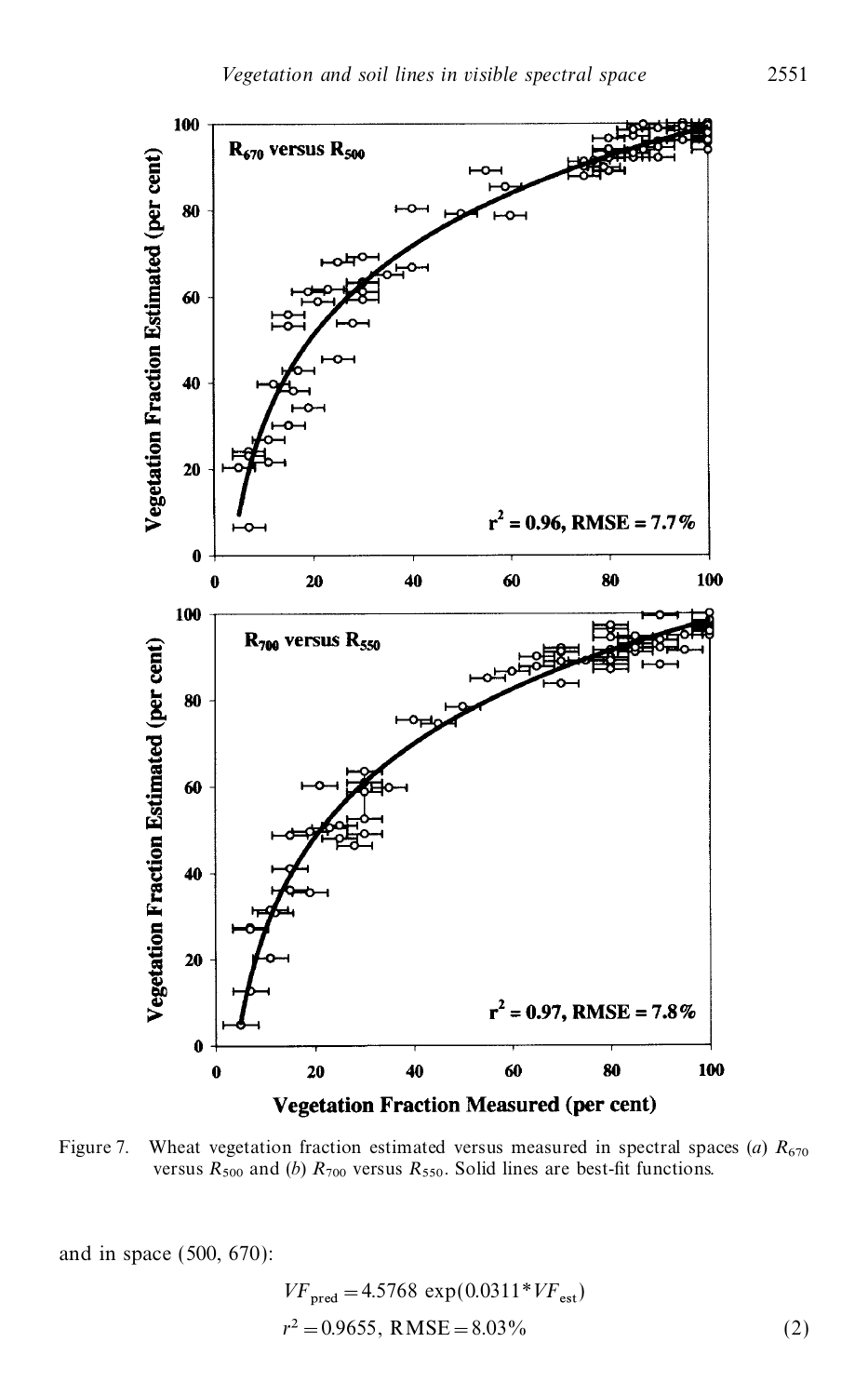

Figure 7. Wheat vegetation fraction estimated versus measured in spectral spaces (*a*)  $R_{670}$ wheat vegetation raction estimated versus measured in spectral spaces (*a*)  $K_{670}$  versus  $R_{500}$  and (*b*)  $R_{700}$  versus  $R_{550}$ . Solid lines are best-fit functions.

and in space (500, 670):

$$
VF_{\text{pred}} = 4.5768 \exp(0.0311 \cdot \, VF_{\text{est}})
$$
  

$$
r^2 = 0.9655, \text{ RMSE} = 8.03\%
$$
 (2)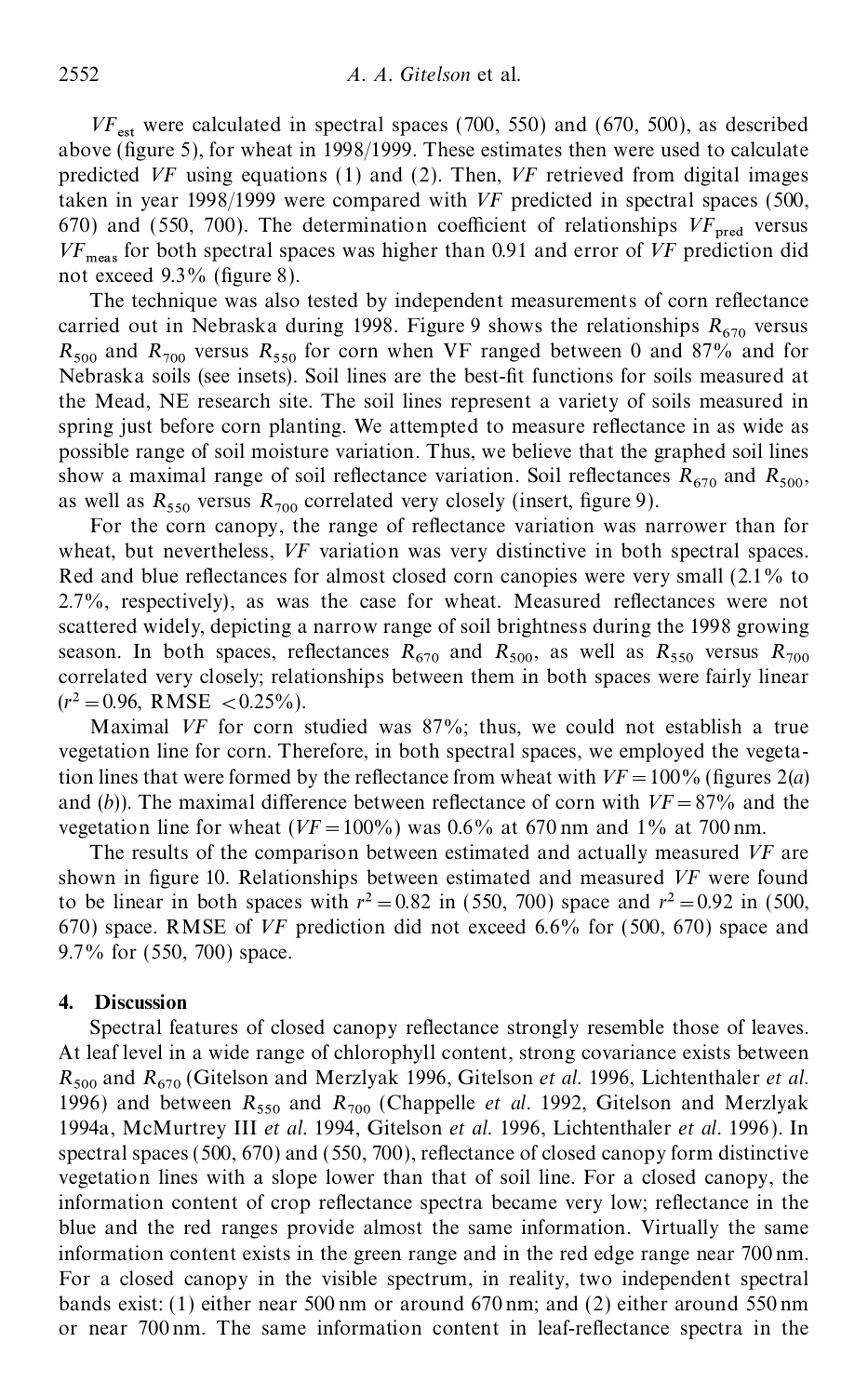$VF_{\text{est}}$  were calculated in spectral spaces (700, 550) and (670, 500), as described above (figure 5), for wheat in 1998/1999. These estimates then were used to calculate predicted *VF* using equations (1) and (2). Then, *VF* retrieved from digital images taken in year 1998/1999 were compared with *VF* predicted in spectral spaces (500, 670) and (550, 700). The determination coefficient of relationships  $VF_{pred}$  versus *VF* meas for both spectral spaces was higher than 0.91 and error of *VF* prediction did not exceed  $9.3\%$  (figure 8).

The technique was also tested by independent measurements of corn reflectance carried out in Nebraska during 1998. Figure 9 shows the relationships  $R_{670}$  versus  $R_{500}$  and  $R_{700}$  versus  $R_{550}$  for corn when VF ranged between 0 and 87% and for Nebraska soils (see insets). Soil lines are the best-fit functions for soils measured at the Mead, NE research site. The soil lines represent a variety of soils measured in spring just before corn planting. We attempted to measure reflectance in as wide as possible range of soil moisture variation. Thus, we believe that the graphed soil lines show a maximal range of soil reflectance variation. Soil reflectances  $R_{670}$  and  $R_{500}$ , as well as  $R_{550}$  versus  $R_{700}$  correlated very closely (insert, figure 9).  $_{550}$  versus  $R_{700}$  correlated very closely (insert, figure 9).

For the corn canopy, the range of reflectance variation was narrower than for wheat, but nevertheless, *VF* variation was very distinctive in both spectral spaces. Red and blue reflectances for almost closed corn canopies were very small  $(2.1\%$  to  $2.7\%$ , respectively), as was the case for wheat. Measured reflectances were not scattered widely, depicting a narrow range of soil brightness during the 1998 growing season. In both spaces, reflectances  $R_{670}$  and  $R_{500}$ , as well as  $R_{550}$  versus  $R_{700}$ correlated very closely; relationships between them in both spaces were fairly linear  $(r^2=0.96, RMSE < 0.25\%)$ .

Maximal *VF* for corn studied was 87%; thus, we could not establish a true vegetation line for corn. Therefore, in both spectral spaces, we employed the vegetation lines that were formed by the reflectance from wheat with  $VF = 100\%$  (figures 2(*a*) and (b)). The maximal difference between reflectance of corn with  $VF = 87%$  and the vegetation line for wheat ( $VF = 100\%$ ) was 0.6% at 670 nm and 1% at 700 nm.

The results of the comparison between estimated and actually measured *VF* are shown in figure 10. Relationships between estimated and measured *VF* were found to be linear in both spaces with  $r^2 = 0.82$  in (550, 700) space and  $r^2 = 0.92$  in (500, 670) space. RMSE of *VF* prediction did not exceed 6.6% for (500, 670) space and 9.7% for (550, 700) space.

#### **4. Discussion**

Spectral features of closed canopy reflectance strongly resemble those of leaves. At leaf level in a wide range of chlorophyll content, strong covariance exists between  $R_{500}$  and  $R_{670}$  (Gitelson and Merzlyak 1996, Gitelson *et al.* 1996, Lichtenthaler *et al.*<br>1996,  $R_{500}$  and  $R_{670}$  (Gitelson and Merzlyak 1996, Gitelson *et al.* 1996, Lichtenthaler *et al.* 1996) and between  $R_{550}$  and  $R_{700}$  (Chappelle *et al.* 1992, Gitelson and Merzlyak 1994a, McMurtrey III *et al.* 1994, Gitelson *et al.* 1996, Lichtenthaler *et al.* 1996 ). In spectral spaces  $(500, 670)$  and  $(550, 700)$ , reflectance of closed canopy form distinctive vegetation lines with a slope lower than that of soil line. For a closed canopy, the information content of crop reflectance spectra became very low; reflectance in the blue and the red ranges provide almost the same information. Virtually the same information content exists in the green range and in the red edge range near 700 nm. For a closed canopy in the visible spectrum, in reality, two independent spectral bands exist: (1) either near 500 nm or around 670 nm; and (2) either around 550 nm or near  $700 \text{ nm}$ . The same information content in leaf-reflectance spectra in the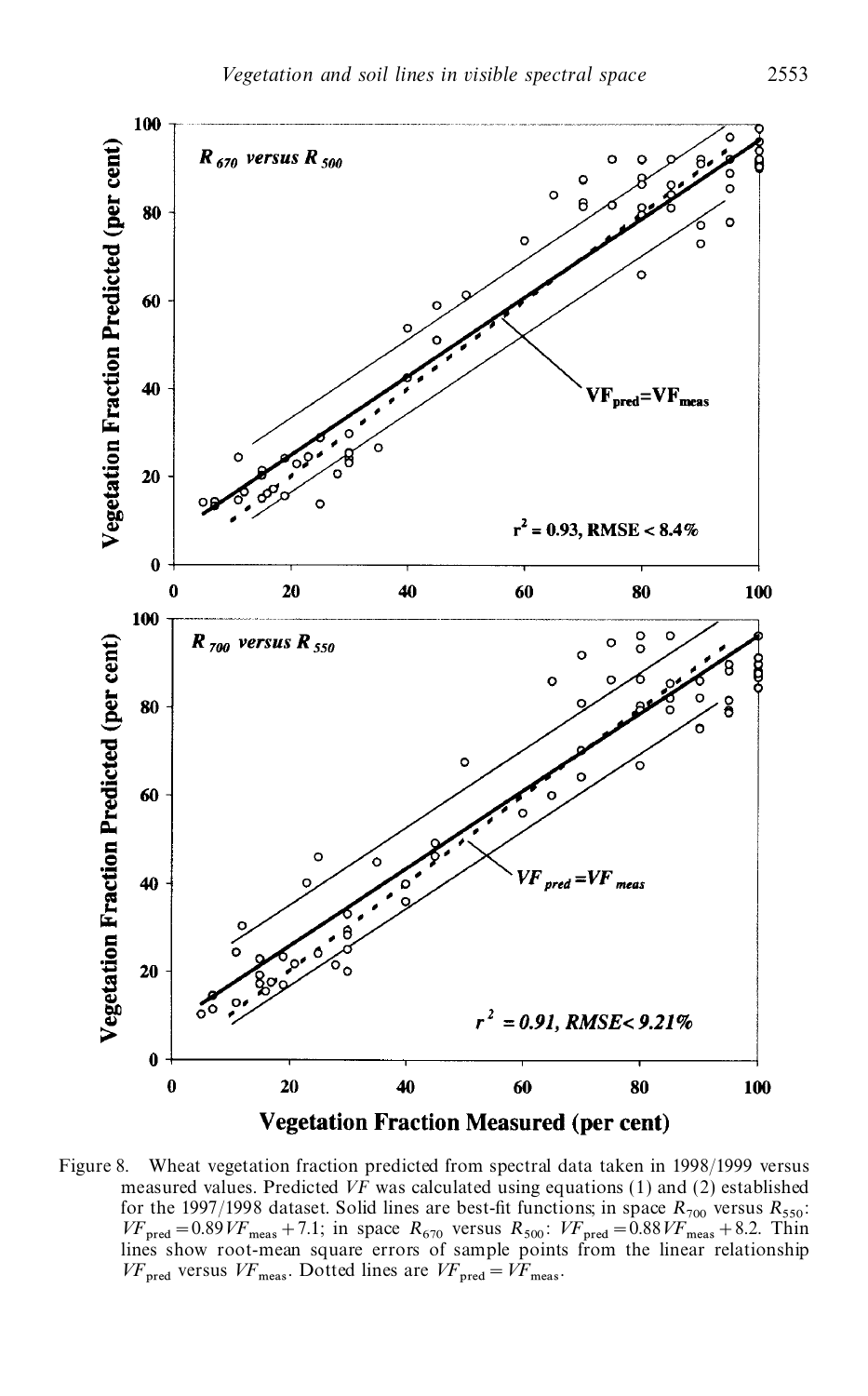

Figure 8. Wheat vegetation fraction predicted from spectral data taken in 1998/1999 versus measured values. Predicted *VF* was calculated using equations (1) and (2) established for the 1997/1998 dataset. Solid lines are best-fit functions; in space  $R_{700}$  versus  $R_{550}$ : for the 1997/1998 dataset. Solid lines are best-fit functions; in space  $R_{700}$  versus  $R_{550}$ :<br>  $VF_{\text{pred}} = 0.89VF_{\text{meas}} + 7.1$ ; in space  $R_{670}$  versus  $R_{500}$ :  $VF_{\text{pred}} = 0.88VF_{\text{meas}} + 8.2$ . Thin lines show root-mean square errors of sample points from the linear relationship  $VF_{\text{pred}}$  versus  $VF_{\text{meas}}$ . Dotted lines are  $VF_{\text{pred}} = VF_{\text{meas}}$ .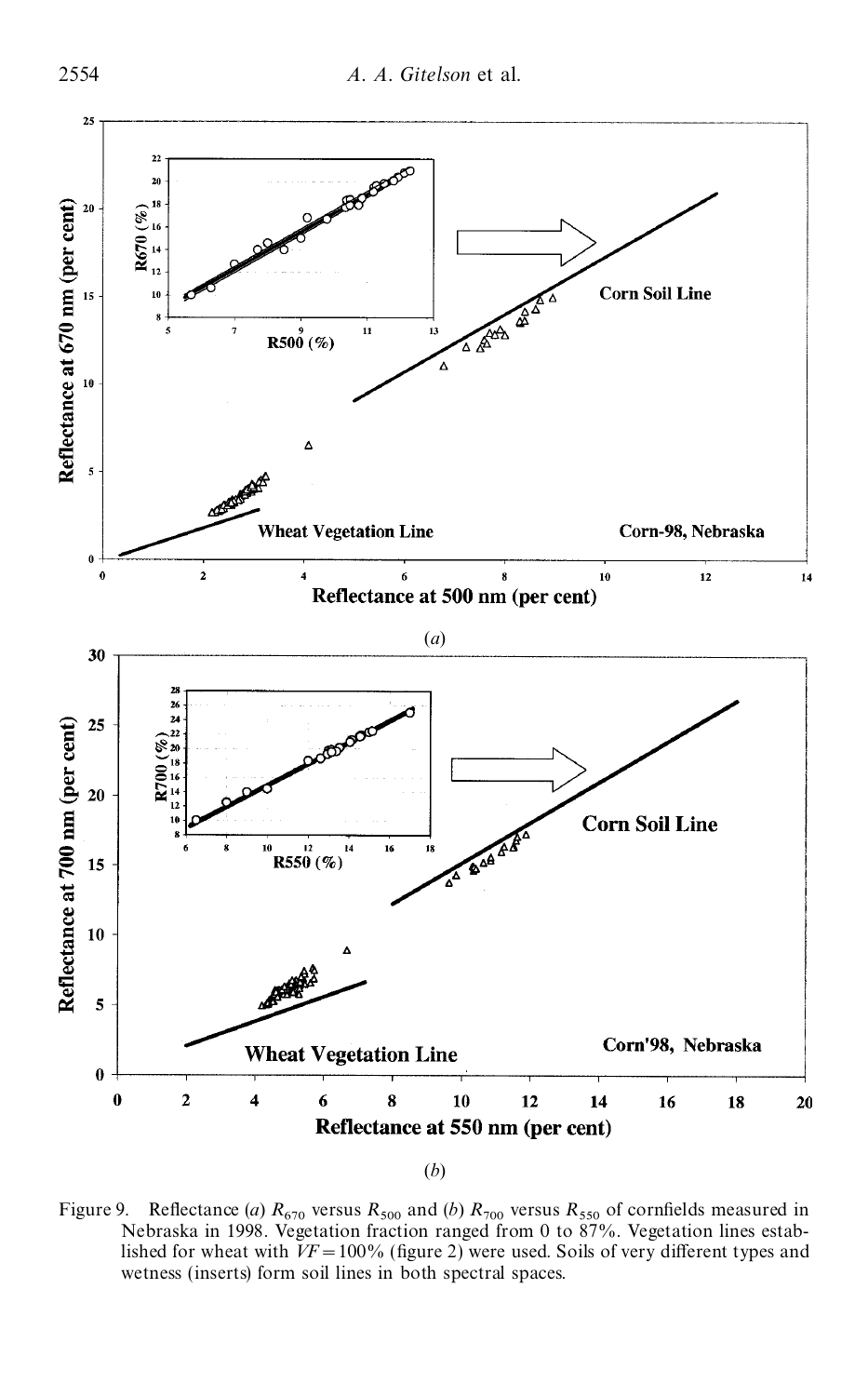

<sup>(</sup>*b*)

Figure 9. Reflectance (*a*)  $R_{670}$  versus  $R_{500}$  and (*b*)  $R_{700}$  versus  $R_{550}$  of cornfields measured in Nebraska in 1998. Vegetation fraction ranged from 0 to 87%. Vegetation lines established for wheat with  $VF = 100\%$  (figure 2) were used. Soils of very different types and wetness (inserts) form soil lines in both spectral spaces.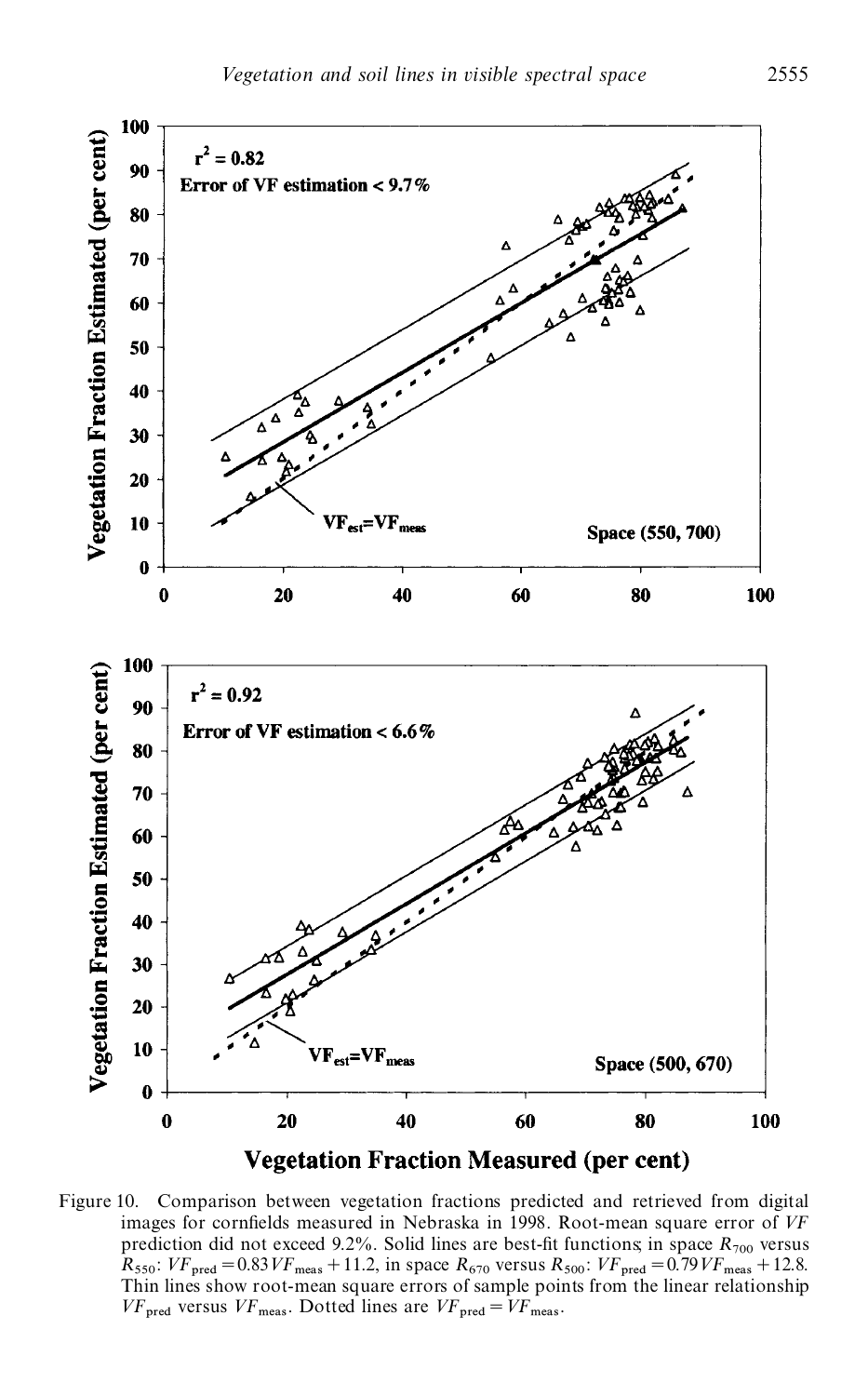

Figure 10. Comparison between vegetation fractions predicted and retrieved from digital images for cornfields measured in Nebraska in 1998. Root-mean square error of VF prediction did not exceed 9.2%. Solid lines are best-fit functions; in space  $R_{700}$  versus prediction did not exceed 9.2%. Solid lines are best-fit functions in space  $R_{700}$  versus  $R_{550}$ :  $VF_{\text{pred}} = 0.83 VF_{\text{meas}} + 11.2$ , in space  $R_{670}$  versus  $R_{500}$ :  $VF_{\text{pred}} = 0.79 VF_{\text{meas}} + 12.8$ . Thin lines show root-mean square errors of sample points from the linear relationship  $VF_{\text{pred}}$  versus  $VF_{\text{meas}}$ . Dotted lines are  $VF_{\text{pred}} = VF_{\text{meas}}$ .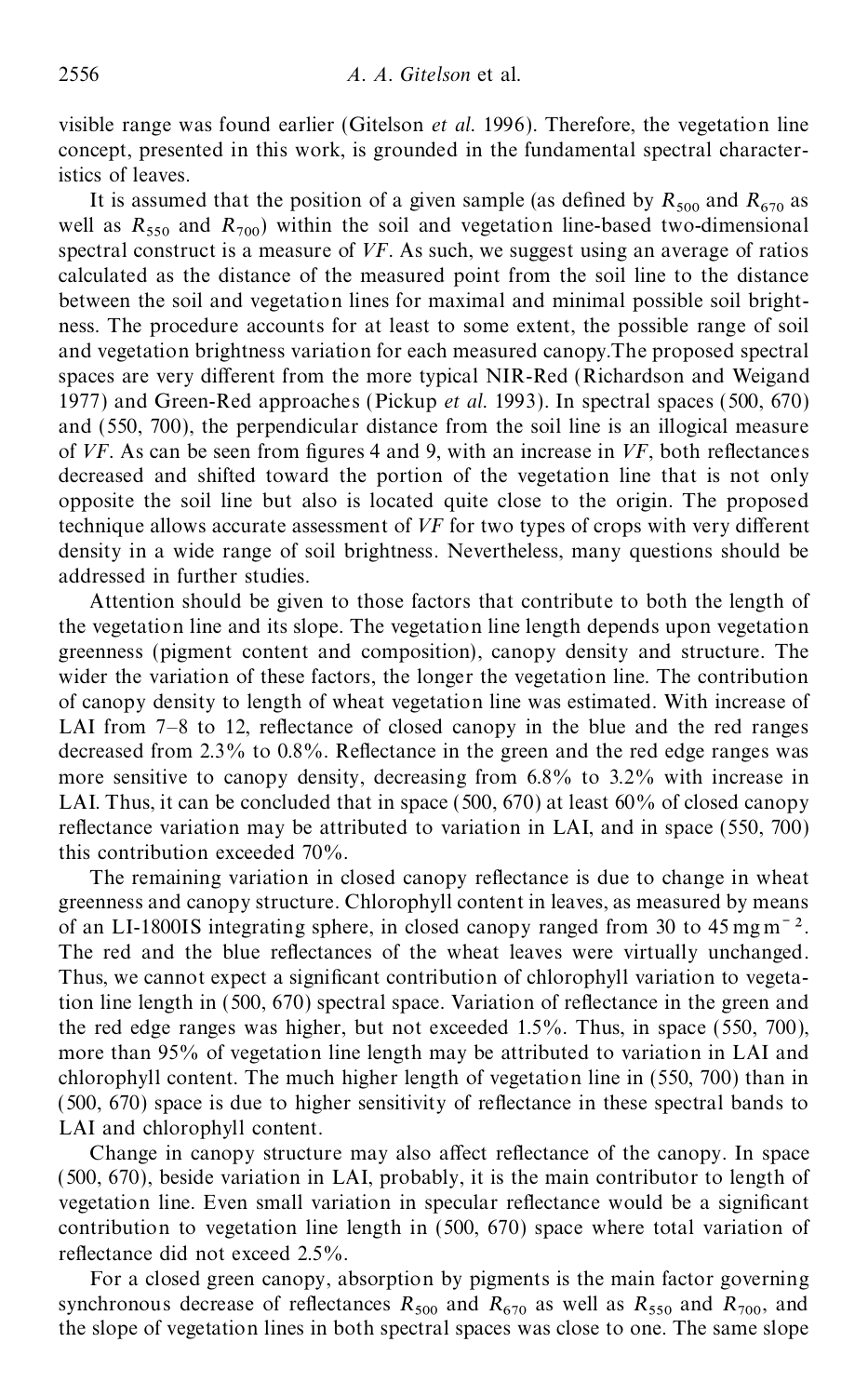visible range was found earlier (Gitelson *et al.* 1996). Therefore, the vegetation line concept, presented in this work, is grounded in the fundamental spectral characteristics of leaves.

It is assumed that the position of a given sample (as defined by  $R_{500}$  and  $R_{670}$  as well as  $R_{550}$  and  $R_{700}$ ) within the soil and vegetation line-based two-dimensional spectral construct is a measure of *VF*. As such, we suggest using an average of ratios calculated as the distance of the measured point from the soil line to the distance between the soil and vegetation lines for maximal and minimal possible soil bright ness. The procedure accounts for at least to some extent, the possible range of soil and vegetation brightness variation for each measured canopy.The proposed spectral spaces are very different from the more typical NIR-Red (Richardson and Weigand 1977) and Green-Red approaches (Pickup *et al.* 1993). In spectral spaces (500, 670) and (550, 700), the perpendicular distance from the soil line is an illogical measure of *VF*. As can be seen from figures 4 and 9, with an increase in *VF*, both reflectances decreased and shifted toward the portion of the vegetation line that is not only opposite the soil line but also is located quite close to the origin. The proposed technique allows accurate assessment of VF for two types of crops with very different density in a wide range of soil brightness. Nevertheless, many questions should be addressed in further studies.

Attention should be given to those factors that contribute to both the length of the vegetation line and its slope. The vegetation line length depends upon vegetation greenness (pigment content and composition), canopy density and structure. The wider the variation of these factors, the longer the vegetation line. The contribution of canopy density to length of wheat vegetation line was estimated. With increase of LAI from  $7-8$  to 12, reflectance of closed canopy in the blue and the red ranges decreased from 2.3% to 0.8%. Reflectance in the green and the red edge ranges was more sensitive to canopy density, decreasing from 6.8% to 3.2% with increase in LAI. Thus, it can be concluded that in space  $(500, 670)$  at least 60% of closed canopy reflectance variation may be attributed to variation in LAI, and in space  $(550, 700)$ this contribution exceeded 70%.

The remaining variation in closed canopy reflectance is due to change in wheat greenness and canopy structure. Chlorophyll content in leaves, as measured by means of an LI-1800IS integrating sphere, in closed canopy ranged from 30 to 45 mg m<sup> $-2$ </sup>. The red and the blue reflectances of the wheat leaves were virtually unchanged. Thus, we cannot expect a significant contribution of chlorophyll variation to vegetation line length in  $(500, 670)$  spectral space. Variation of reflectance in the green and the red edge ranges was higher, but not exceeded 1.5%. Thus, in space (550, 700), more than 95% of vegetation line length may be attributed to variation in LAI and chlorophyll content. The much higher length of vegetation line in (550, 700) than in  $(500, 670)$  space is due to higher sensitivity of reflectance in these spectral bands to LAI and chlorophyll content.

Change in canopy structure may also affect reflectance of the canopy. In space (500, 670), beside variation in LAI, probably, it is the main contributor to length of vegetation line. Even small variation in specular reflectance would be a significant contribution to vegetation line length in (500, 670) space where total variation of reflectance did not exceed 2.5%.

For a closed green canopy, absorption by pigments is the main factor governing synchronous decrease of reflectances  $R_{500}$  and  $R_{670}$  as well as  $R_{550}$  and  $R_{700}$ , and the slope of vegetation lines in both spectral spaces was close to one. The same slope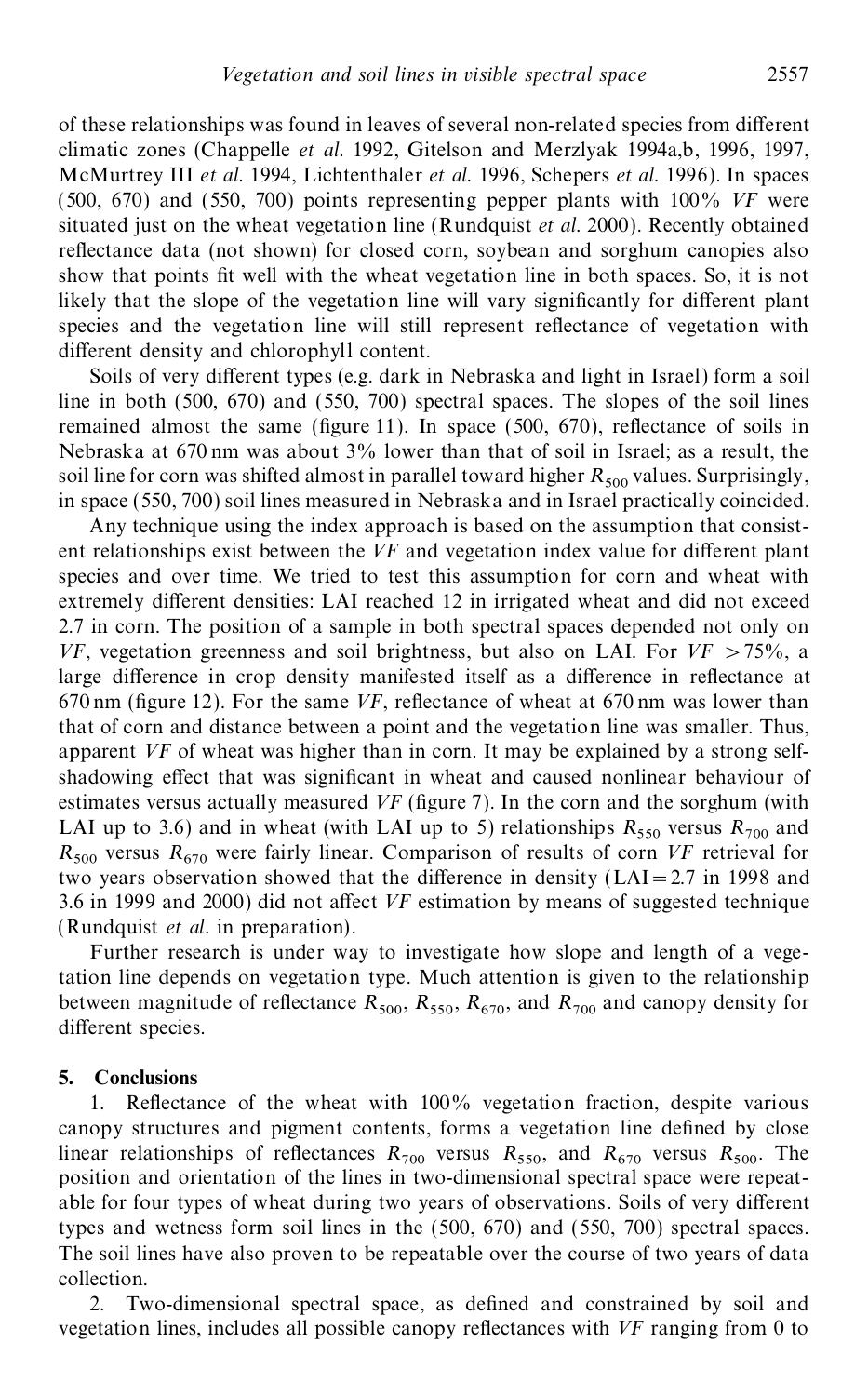of these relationships was found in leaves of several non-related species from different climatic zones (Chappelle *et al.* 1992, Gitelson and Merzlyak 1994a,b, 1996, 1997, McMurtrey III *et al.* 1994, Lichtenthaler *et al.* 1996, Schepers *et al.* 1996). In spaces (500, 670) and (550, 700) points representing pepper plants with 100% *VF* were situated just on the wheat vegetation line (Rundquist *et al.* 2000). Recently obtained reflectance data (not shown) for closed corn, soybean and sorghum canopies also show that points fit well with the wheat vegetation line in both spaces. So, it is not likely that the slope of the vegetation line will vary significantly for different plant species and the vegetation line will still represent reflectance of vegetation with different density and chlorophyll content.

Soils of very different types (e.g. dark in Nebraska and light in Israel) form a soil line in both (500, 670) and (550, 700) spectral spaces. The slopes of the soil lines remained almost the same (figure 11). In space  $(500, 670)$ , reflectance of soils in Nebraska at 670 nm was about 3% lower than that of soil in Israel; as a result, the soil line for corn was shifted almost in parallel toward higher  $R_{500}$  values. Surprisingly, in space (550, 700) soil lines measured in Nebraska and in Israel practically coincided.

Any technique using the index approach is based on the assumption that consist ent relationships exist between the  $VF$  and vegetation index value for different plant species and over time. We tried to test this assumption for corn and wheat with extremely different densities: LAI reached 12 in irrigated wheat and did not exceed 2.7 in corn. The position of a sample in both spectral spaces depended not only on *VF*, vegetation greenness and soil brightness, but also on LAI. For *VF* >75%, a large difference in crop density manifested itself as a difference in reflectance at 670 nm (figure 12). For the same  $VF$ , reflectance of wheat at 670 nm was lower than that of corn and distance between a point and the vegetation line was smaller. Thus, apparent *VF* of wheat was higher than in corn. It may be explained by a strong selfshadowing effect that was significant in wheat and caused nonlinear behaviour of estimates versus actually measured *VF* (figure 7). In the corn and the sorghum (with LAI up to 3.6) and in wheat (with LAI up to 5) relationships  $R_{550}$  versus  $R_{700}$  and  $R_{500}$  versus  $R_{670}$  were fairly linear. Comparison of results of corn *VF* retrieval for two years observation showed that the difference in density ( $LAI = 2.7$  in 1998 and 3.6 in 1999 and 2000) did not affect *VF* estimation by means of suggested technique (Rundquist *et al.* in preparation).

Further research is under way to investigate how slope and length of a vegetation line depends on vegetation type. Much attention is given to the relationship between magnitude of reflectance  $R_{500}$ ,  $R_{550}$ ,  $R_{670}$ , and  $R_{700}$  and canopy density for different species.

#### **5. Conclusions**

Reflectance of the wheat with  $100\%$  vegetation fraction, despite various canopy structures and pigment contents, forms a vegetation line defined by close linear relationships of reflectances  $R_{700}$  versus  $R_{550}$ , and  $R_{670}$  versus  $R_{500}$ . The position and orientation of the lines in two-dimensional spectral space were repeat able for four types of wheat during two years of observations. Soils of very different types and wetness form soil lines in the (500, 670) and (550, 700) spectral spaces. The soil lines have also proven to be repeatable over the course of two years of data collection.

2. Two-dimensional spectral space, as defined and constrained by soil and vegetation lines, includes all possible canopy reflectances with *VF* ranging from 0 to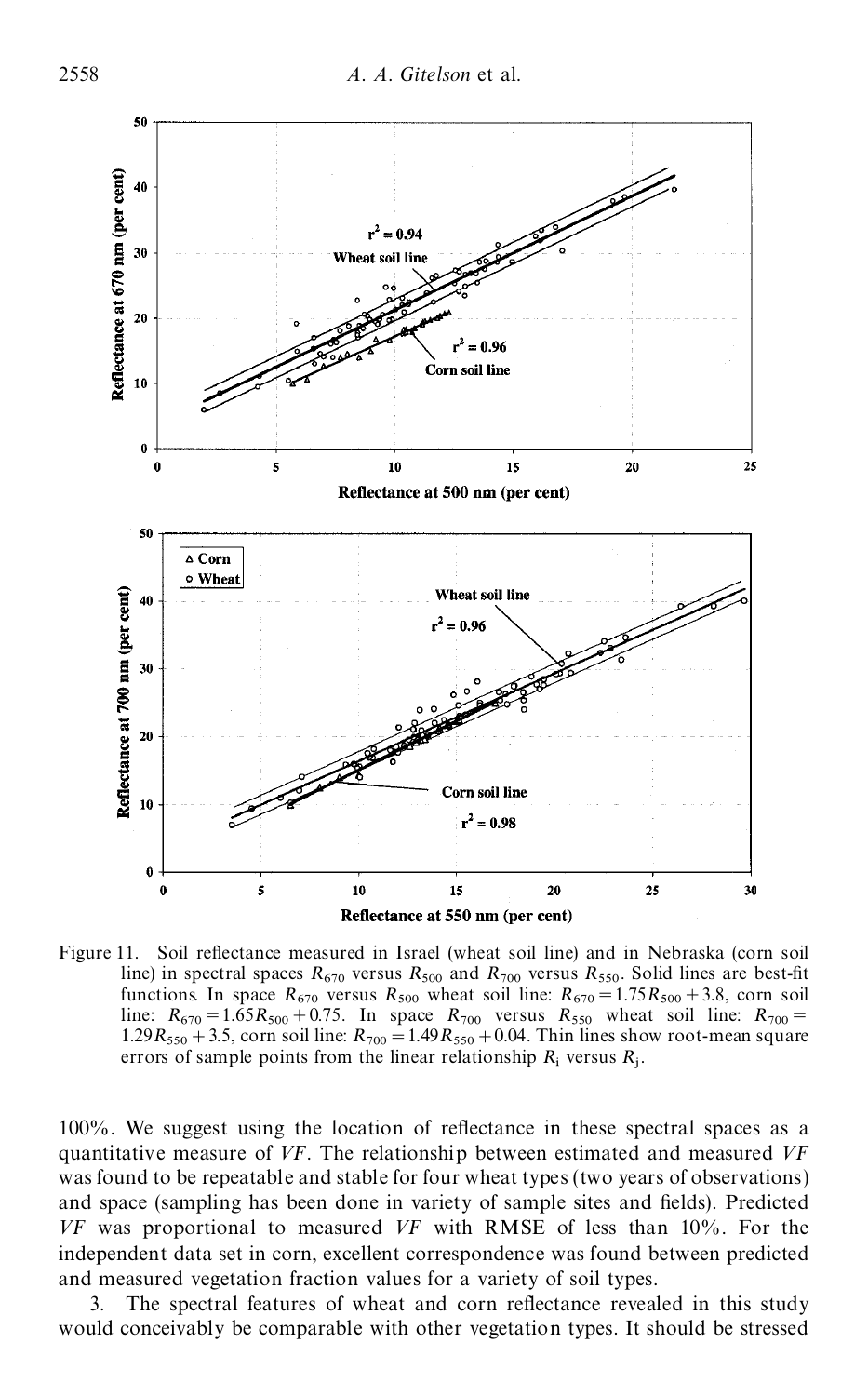

Figure 11. Soil reflectance measured in Israel (wheat soil line) and in Nebraska (corn soil line) in spectral spaces  $R_{670}$  versus  $R_{500}$  and  $R_{700}$  versus  $R_{550}$ . Solid lines are best-fit functions. In space  $R_{670}$  versus  $R_{500}$  wheat soil line:  $R_{670} = 1.75R_{500} + 3.8$ , corn soil line:  $R_{670} = 1.65 R_{500} + 0.75$ . In space  $R_{700}$  versus  $R_{550}$  wheat soil line:  $R_{700} = 1.00 R_{500} + 0.75$ . 1.29 $R_{550}$  + 3.5, corn soil line:  $R_{700}$  = 1.49 $R_{550}$  + 0.04. Thin lines show root-mean square errors of sample points from the linear relationship  $R_i$  versus  $R_j$ .

 $100\%$ . We suggest using the location of reflectance in these spectral spaces as a quantitative measure of *VF*. The relationship between estimated and measured *VF* was found to be repeatable and stable for four wheat types (two years of observations) and space (sampling has been done in variety of sample sites and fields). Predicted *VF* was proportional to measured *VF* with RMSE of less than 10%. For the independent data set in corn, excellent correspondence was found between predicted and measured vegetation fraction values for a variety of soil types.

3. The spectral features of wheat and corn reflectance revealed in this study would conceivably be comparable with other vegetation types. It should be stressed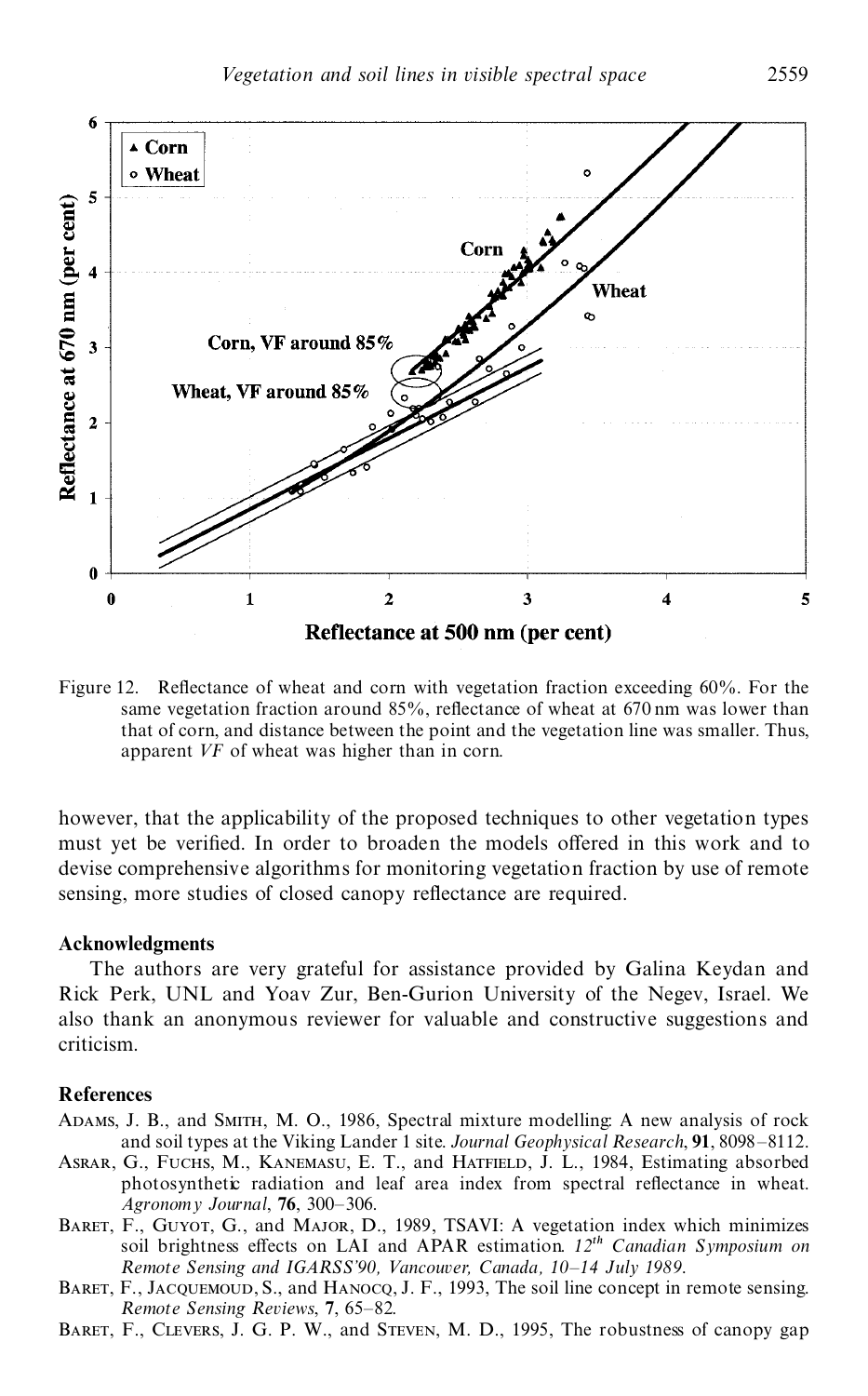

Figure 12. Reflectance of wheat and corn with vegetation fraction exceeding 60%. For the same vegetation fraction around  $85\%$ , reflectance of wheat at  $670 \text{ nm}$  was lower than that of corn, and distance between the point and the vegetation line was smaller. Thus, apparent *VF* of wheat was higher than in corn.

however, that the applicability of the proposed techniques to other vegetation types must yet be verified. In order to broaden the models offered in this work and to devise comprehensive algorithms for monitoring vegetation fraction by use of remote sensing, more studies of closed canopy reflectance are required.

#### **Acknowledgments**

The authors are very grateful for assistance provided by Galina Keydan and Rick Perk, UNL and Yoav Zur, Ben-Gurion University of the Negev, Israel. We also thank an anonymous reviewer for valuable and constructive suggestions and criticism.

#### **References**

Adams, J. B., and Smith, M. O., 1986, Spectral mixture modelling: A new analysis of rock and soil types at the Viking Lander 1 site. *Journal Geophysical Research*, **91**, 8098–8112.

- ASRAR, G., FUCHS, M., KANEMASU, E. T., and HATFIELD, J. L., 1984, Estimating absorbed photosynthetic radiation and leaf area index from spectral reflectance in wheat. *Agronomy Journal*, **76**, 300–306.
- Baret, F., Guyot, G., and Major, D., 1989, TSAVI: A vegetation index which minimizes soil brightness effects on LAI and APAR estimation.  $12^{th}$  *Canadian Symposium on Remote Sensing and IGARSS'90, Vancouver, Canada, 10–14 July 1989*.
- BARET, F., JACQUEMOUD, S., and HANOCQ, J. F., 1993, The soil line concept in remote sensing. *Remote Sensing Reviews*, **7**, 65–82.
- BARET, F., CLEVERS, J. G. P. W., and STEVEN, M. D., 1995, The robustness of canopy gap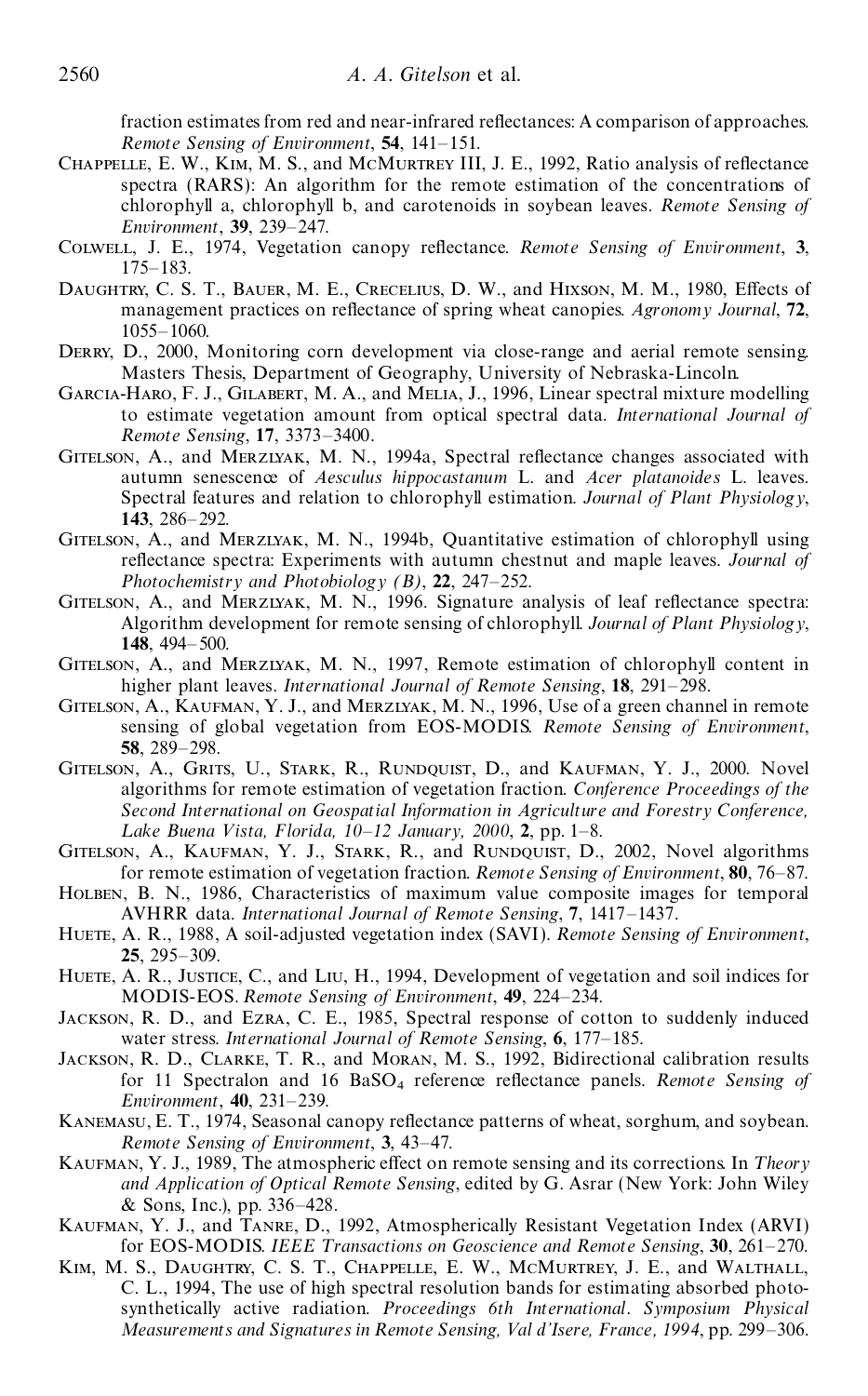fraction estimates from red and near-infrared reflectances: A comparison of approaches. *Remote Sensing of Environment*, **54**, 141–151.

- CHAPPELLE, E. W., KIM, M. S., and MCMURTREY III, J. E., 1992, Ratio analysis of reflectance spectra (RARS): An algorithm for the remote estimation of the concentrations of chlorophyll a, chlorophyll b, and carotenoids in soybean leaves. *Remote Sensing of Environment*, **39**, 239–247.
- COLWELL, J. E., 1974, Vegetation canopy reflectance. *Remote Sensing of Environment*, 3, 175–183.
- DAUGHTRY, C. S. T., BAUER, M. E., CRECELIUS, D. W., and HIXSON, M. M., 1980, Effects of management practices on reflectance of spring wheat canopies. Agronomy Journal, 72, 1055–1060.
- DERRY, D., 2000, Monitoring corn development via close-range and aerial remote sensing. Masters Thesis, Department of Geography, University of Nebraska-Lincoln.
- Garcia-Haro, F. J., Gilabert, M. A., and Melia, J., 1996, Linear spectral mixture modelling to estimate vegetation amount from optical spectral data. *International Journal of Remote Sensing*, **17**, 3373–3400.
- GITELSON, A., and MERZIYAK, M. N., 1994a, Spectral reflectance changes associated with autumn senescence of *Aesculus hippocastanum* L. and *Acer platanoides* L. leaves. Spectral features and relation to chlorophyll estimation. *Journal of Plant Physiology*, **143**, 286–292.
- GITELSON, A., and MERZLYAK, M. N., 1994b, Quantitative estimation of chlorophyll using reflectance spectra: Experiments with autumn chestnut and maple leaves. *Journal of Photochemistry and Photobiology (B)*, **22**, 247–252.
- GITELSON, A., and MERZLYAK, M. N., 1996. Signature analysis of leaf reflectance spectra: Algorithm development for remote sensing of chlorophyll. *Journal of Plant Physiology*, **148**, 494–500.
- Gitelson, A., and Merzlyak, M. N., 1997, Remote estimation of chlorophyll content in higher plant leaves. *International Journal of Remote Sensing*, **18**, 291–298.
- Gitelson, A., Kaufman, Y. J., and Merzlyak, M. N., 1996, Use of a green channel in remote sensing of global vegetation from EOS-MODIS. *Remote Sensing of Environment*, **58**, 289–298.
- Gitelson, A., Grits, U., Stark, R., Rundquist, D., and Kaufman, Y. J., 2000. Novel algorithms for remote estimation of vegetation fraction. *Conference Proceedings of the Second International on Geospatial Information in Agriculture and Forestry Conference, L ake Buena V ista, Florida, 10–12 January, 2000*, **2**, pp. 1–8.
- Gitelson, A., Kaufman, Y. J., Stark, R., and Rundquist, D., 2002, Novel algorithms for remote estimation of vegetation fraction. *Remote Sensing of Environment*, **80**, 76–87.
- HOLBEN, B. N., 1986, Characteristics of maximum value composite images for temporal AVHRR data. *International Journal of Remote Sensing*, **7**, 1417–1437.
- Huete, A. R., 1988, A soil-adjusted vegetation index (SAVI). *Remote Sensing of Environment*, **25**, 295–309.
- HUETE, A. R., JUSTICE, C., and LIU, H., 1994, Development of vegetation and soil indices for MODIS-EOS. *Remote Sensing of Environment*, **49**, 224–234.
- Jackson, R. D., and Ezra, C. E., 1985, Spectral response of cotton to suddenly induced water stress. *International Journal of Remote Sensing*, **6**, 177–185.
- JACKSON, R. D., CLARKE, T. R., and MORAN, M. S., 1992, Bidirectional calibration results for 11 Spectralon and 16 BaSO4 reference re ectance panels. *Remote Sensing of Environment*, **40**, 231–239.
- KANEMASU, E. T., 1974, Seasonal canopy reflectance patterns of wheat, sorghum, and soybean. *Remote Sensing of Environment*, **3**, 43–47.
- KAUFMAN, Y. J., 1989, The atmospheric effect on remote sensing and its corrections. In *Theory and Application of Optical Remote Sensing*, edited by G. Asrar (New York: John Wiley & Sons, Inc.), pp. 336–428.
- Kaufman, Y. J., and Tanre, D., 1992, Atmospherically Resistant Vegetation Index (ARVI) for EOS-MODIS. *IEEE T ransactions on Geoscience and Remote Sensing*, **30**, 261–270.
- Kim, M. S., Daughtry, C. S. T., Chappelle, E. W., McMurtrey, J. E., and Walthall, C. L., 1994, The use of high spectral resolution bands for estimating absorbed photo synthetically active radiation. *Proceedings 6th International. Symposium Physical Measurements and Signatures in Remote Sensing, Val d'Isere, France, 1994*, pp. 299–306.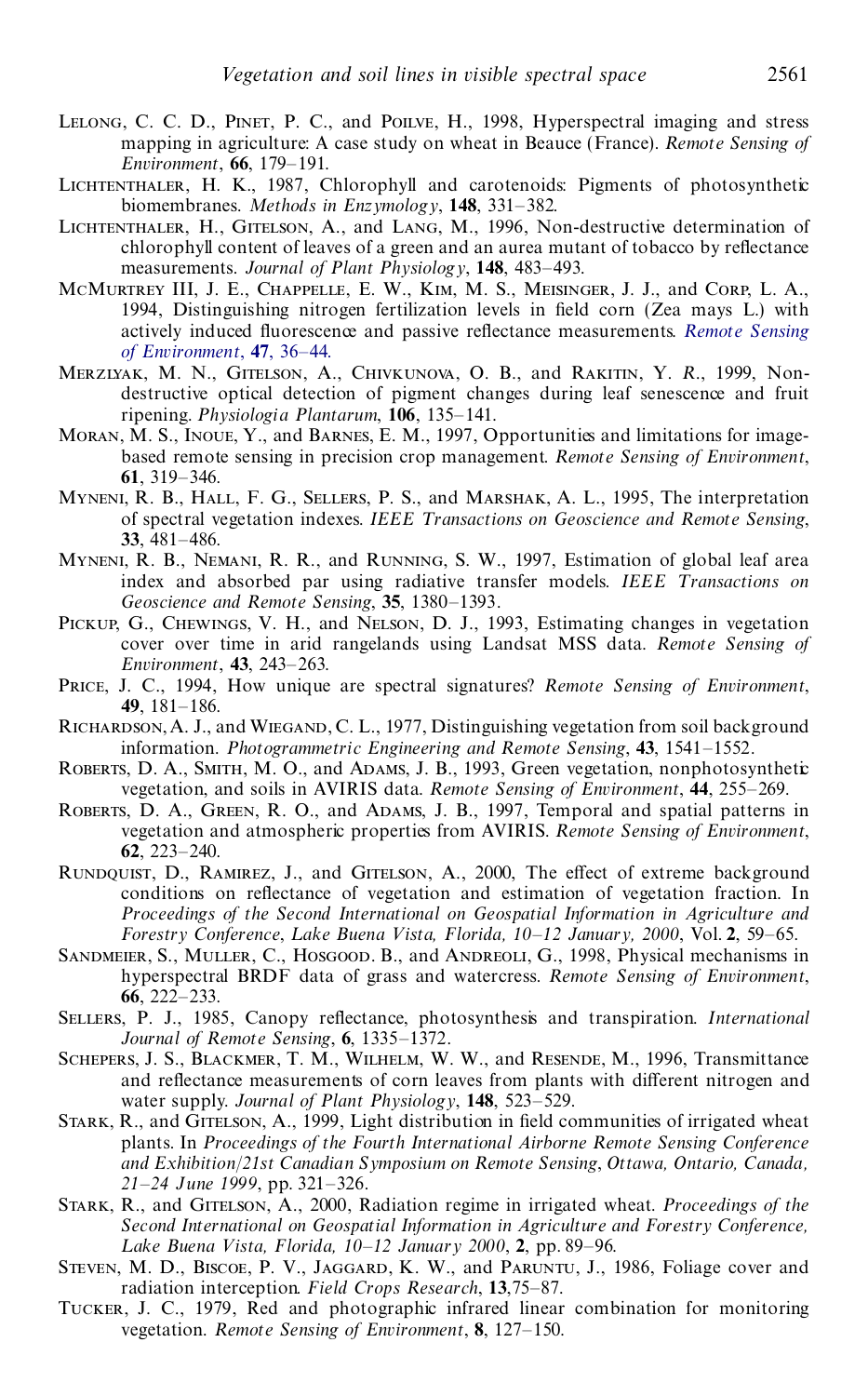- Lelong, C. C. D., Pinet, P. C., and Poilve, H., 1998, Hyperspectral imaging and stress mapping in agriculture: A case study on wheat in Beauce (France). *Remote Sensing of Environment*, **66**, 179–191.
- LICHTENTHALER, H. K., 1987, Chlorophyll and carotenoids: Pigments of photosynthetic biomembranes. *Methods in Enzymology*, **148**, 331–382.
- Lichtenthaler, H., Gitelson, A., and Lang, M., 1996, Non-destructive determination of chlorophyll content of leaves of a green and an aurea mutant of tobacco by reflectance measurements. *Journal of Plant Physiology*, **148**, 483–493.
- McMurtrey III, J. E., Chappelle, E. W., Kim, M. S., Meisinger, J. J., and Corp, L. A., 1994, Distinguishing nitrogen fertilization levels in field corn (Zea mays L.) with actively induced fluorescence and passive reflectance measurements. *Remote [Sensing](http://gessler.catchword.com/nw=1/rpsv/cgi-bin/linker?ext=a&reqidx=/0034-4257^28^2947L.36[aid=2703212]) of [Environment](http://gessler.catchword.com/nw=1/rpsv/cgi-bin/linker?ext=a&reqidx=/0034-4257^28^2947L.36[aid=2703212])*, **47**, 36–44.
- Merzlyak, M. N., Gitelson, A., Chivkunova, O. B., and Rakitin, Y. *R*., 1999, Nondestructive optical detection of pigment changes during leaf senescence and fruit ripening. *Physiologia Plantarum*, **106**, 135–141.
- MORAN, M. S., INOUE, Y., and BARNES, E. M., 1997, Opportunities and limitations for imagebased remote sensing in precision crop management. *Remote Sensing of Environment*, **61**, 319–346.
- Myneni, R. B., Hall, F. G., Sellers, P. S., and Marshak, A. L., 1995, The interpretation of spectral vegetation indexes. *IEEE T ransactions on Geoscience and Remote Sensing*, **33**, 481–486.
- Myneni, R. B., Nemani, R. R., and Running, S. W., 1997, Estimation of global leaf area index and absorbed par using radiative transfer models. *IEEE T ransactions on Geoscience and Remote Sensing*, **35**, 1380–1393.
- PICKUP, G., CHEWINGS, V. H., and NELSON, D. J., 1993, Estimating changes in vegetation cover over time in arid rangelands using Landsat MSS data. *Remote Sensing of Environment*, **43**, 243–263.
- Price, J. C., 1994, How unique are spectral signatures? *Remote Sensing of Environment*, **49**, 181–186.
- RICHARDSON, A. J., and WIEGAND, C. L., 1977, Distinguishing vegetation from soil background information. *Photogrammetric Engineering and Remote Sensing*, **43**, 1541–1552.
- ROBERTS, D. A., SMITH, M. O., and ADAMS, J. B., 1993, Green vegetation, nonphotosynthetic vegetation, and soils in AVIRIS data. *Remote Sensing of Environment*, **44**, 255–269.
- Roberts, D. A., Green, R. O., and Adams, J. B., 1997, Temporal and spatial patterns in vegetation and atmospheric properties from AVIRIS. *Remote Sensing of Environment*, **62**, 223–240.
- RUNDQUIST, D., RAMIREZ, J., and GITELSON, A., 2000, The effect of extreme background conditions on reflectance of vegetation and estimation of vegetation fraction. In *Proceedings of the Second International on Geospatial Information in Agriculture and Forestry Conference*, *L ake Buena V ista, Florida, 10–12 January, 2000*, Vol. **2**, 59–65.
- SANDMEIER, S., MULLER, C., HOSGOOD. B., and ANDREOLI, G., 1998, Physical mechanisms in hyperspectral BRDF data of grass and watercress. *Remote Sensing of Environment*, **66**, 222–233.
- SELLERS, P. J., 1985, Canopy reflectance, photosynthesis and transpiration. *International Journal of Remote Sensing*, **6**, 1335–1372.
- Schepers, J. S., Blackmer, T. M., Wilhelm, W. W., and Resende, M., 1996, Transmittance and reflectance measurements of corn leaves from plants with different nitrogen and water supply. *Journal of Plant Physiology*, **148**, 523–529.
- STARK, R., and GITELSON, A., 1999, Light distribution in field communities of irrigated wheat plants. In *Proceedings of the Fourth International Airborne Remote Sensing Conference and Exhibition*/*21st Canadian Symposium on Remote Sensing*, *Ottawa, Ontario, Canada, 21–24 June 1999*, pp. 321–326.
- Stark, R., and Gitelson, A., 2000, Radiation regime in irrigated wheat. *Proceedings of the Second International on Geospatial Information in Agriculture and Forestry Conference, L ake Buena V ista, Florida, 10–12 January 2000*, **2**, pp. 89–96.
- Steven, M. D., Biscoe, P. V., Jaggard, K. W., and Paruntu, J., 1986, Foliage cover and radiation interception. *Field Crops Research*, **13**,75–87.
- Tucker, J. C., 1979, Red and photographic infrared linear combination for monitoring vegetation. *Remote Sensing of Environment*, **8**, 127–150.